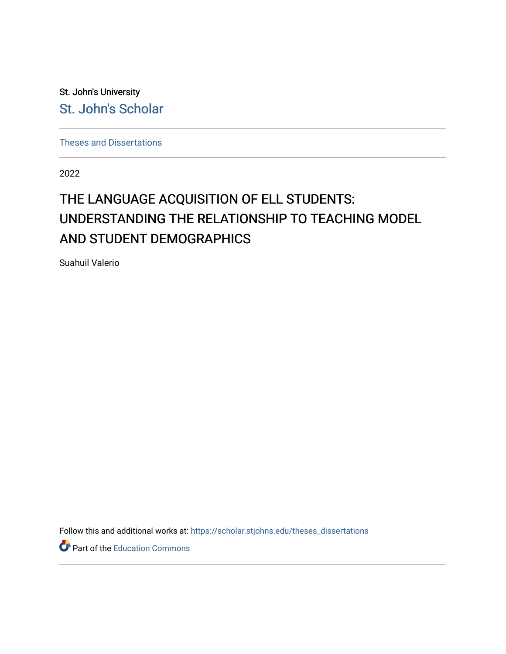St. John's University [St. John's Scholar](https://scholar.stjohns.edu/) 

[Theses and Dissertations](https://scholar.stjohns.edu/theses_dissertations)

2022

# THE LANGUAGE ACQUISITION OF ELL STUDENTS: UNDERSTANDING THE RELATIONSHIP TO TEACHING MODEL AND STUDENT DEMOGRAPHICS

Suahuil Valerio

Follow this and additional works at: [https://scholar.stjohns.edu/theses\\_dissertations](https://scholar.stjohns.edu/theses_dissertations?utm_source=scholar.stjohns.edu%2Ftheses_dissertations%2F409&utm_medium=PDF&utm_campaign=PDFCoverPages)

Part of the [Education Commons](https://network.bepress.com/hgg/discipline/784?utm_source=scholar.stjohns.edu%2Ftheses_dissertations%2F409&utm_medium=PDF&utm_campaign=PDFCoverPages)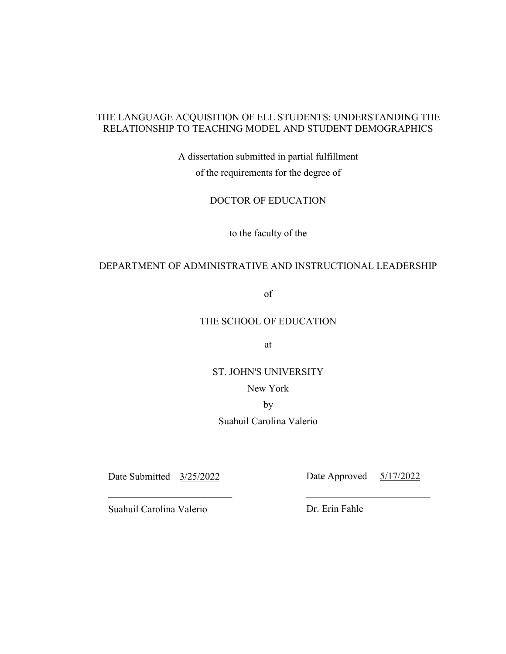# THE LANGUAGE ACQUISITION OF ELL STUDENTS: UNDERSTANDING THE RELATIONSHIP TO TEACHING MODEL AND STUDENT DEMOGRAPHICS

A dissertation submitted in partial fulfillment of the requirements for the degree of

DOCTOR OF EDUCATION

to the faculty of the

# DEPARTMENT OF ADMINISTRATIVE AND INSTRUCTIONAL LEADERSHIP

of

## THE SCHOOL OF EDUCATION

at

ST. JOHN'S UNIVERSITY

New York

by

Suahuil Carolina Valerio

 $\overline{\phantom{a}}$  , and the contract of the contract of the contract of the contract of the contract of the contract of the contract of the contract of the contract of the contract of the contract of the contract of the contrac

Date Submitted 3/25/2022 Date Approved 5/17/2022

Suahuil Carolina Valerio Dr. Erin Fahle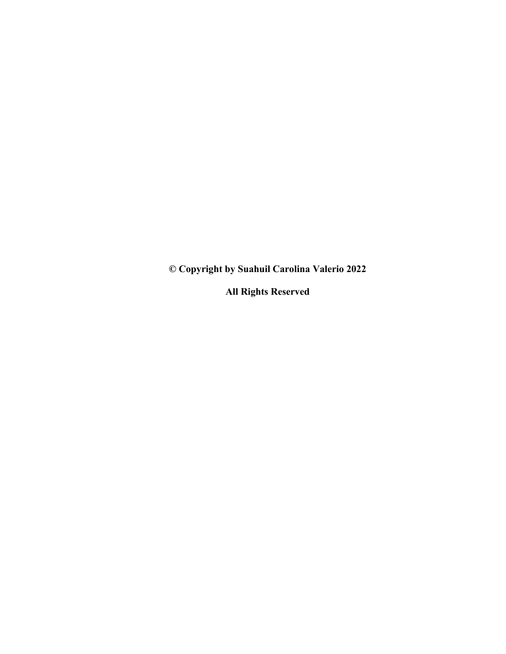**© Copyright by Suahuil Carolina Valerio 2022** 

**All Rights Reserved**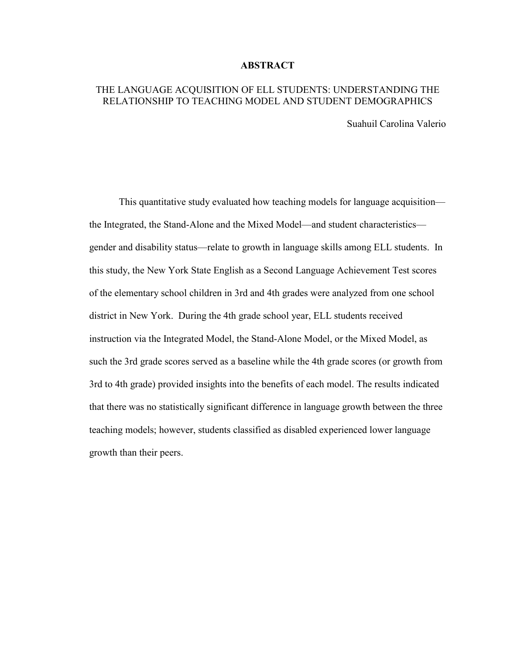## **ABSTRACT**

# THE LANGUAGE ACQUISITION OF ELL STUDENTS: UNDERSTANDING THE RELATIONSHIP TO TEACHING MODEL AND STUDENT DEMOGRAPHICS

Suahuil Carolina Valerio

 This quantitative study evaluated how teaching models for language acquisition the Integrated, the Stand-Alone and the Mixed Model—and student characteristics gender and disability status—relate to growth in language skills among ELL students. In this study, the New York State English as a Second Language Achievement Test scores of the elementary school children in 3rd and 4th grades were analyzed from one school district in New York. During the 4th grade school year, ELL students received instruction via the Integrated Model, the Stand-Alone Model, or the Mixed Model, as such the 3rd grade scores served as a baseline while the 4th grade scores (or growth from 3rd to 4th grade) provided insights into the benefits of each model. The results indicated that there was no statistically significant difference in language growth between the three teaching models; however, students classified as disabled experienced lower language growth than their peers.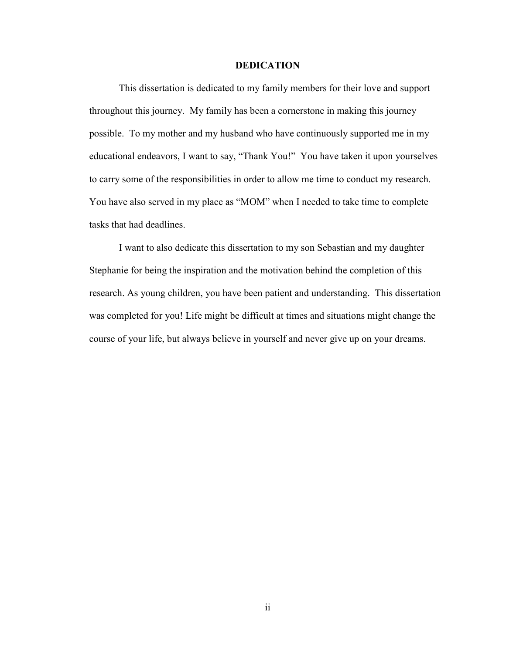# **DEDICATION**

This dissertation is dedicated to my family members for their love and support throughout this journey. My family has been a cornerstone in making this journey possible. To my mother and my husband who have continuously supported me in my educational endeavors, I want to say, "Thank You!" You have taken it upon yourselves to carry some of the responsibilities in order to allow me time to conduct my research. You have also served in my place as "MOM" when I needed to take time to complete tasks that had deadlines.

I want to also dedicate this dissertation to my son Sebastian and my daughter Stephanie for being the inspiration and the motivation behind the completion of this research. As young children, you have been patient and understanding. This dissertation was completed for you! Life might be difficult at times and situations might change the course of your life, but always believe in yourself and never give up on your dreams.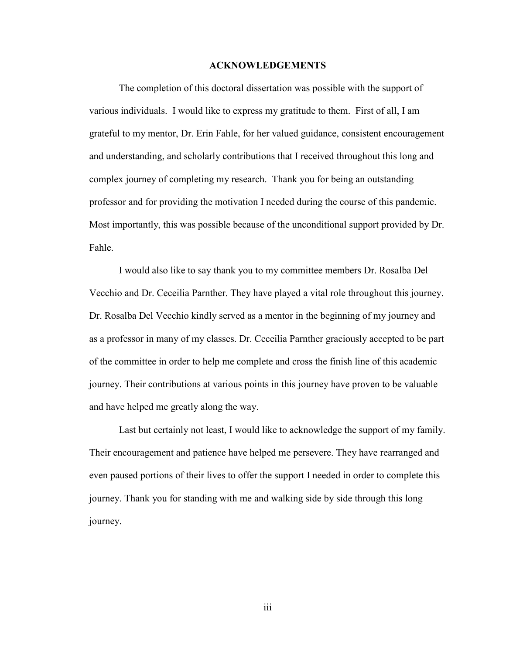#### **ACKNOWLEDGEMENTS**

The completion of this doctoral dissertation was possible with the support of various individuals. I would like to express my gratitude to them. First of all, I am grateful to my mentor, Dr. Erin Fahle, for her valued guidance, consistent encouragement and understanding, and scholarly contributions that I received throughout this long and complex journey of completing my research. Thank you for being an outstanding professor and for providing the motivation I needed during the course of this pandemic. Most importantly, this was possible because of the unconditional support provided by Dr. Fahle.

I would also like to say thank you to my committee members Dr. Rosalba Del Vecchio and Dr. Ceceilia Parnther. They have played a vital role throughout this journey. Dr. Rosalba Del Vecchio kindly served as a mentor in the beginning of my journey and as a professor in many of my classes. Dr. Ceceilia Parnther graciously accepted to be part of the committee in order to help me complete and cross the finish line of this academic journey. Their contributions at various points in this journey have proven to be valuable and have helped me greatly along the way.

Last but certainly not least, I would like to acknowledge the support of my family. Their encouragement and patience have helped me persevere. They have rearranged and even paused portions of their lives to offer the support I needed in order to complete this journey. Thank you for standing with me and walking side by side through this long journey.

iii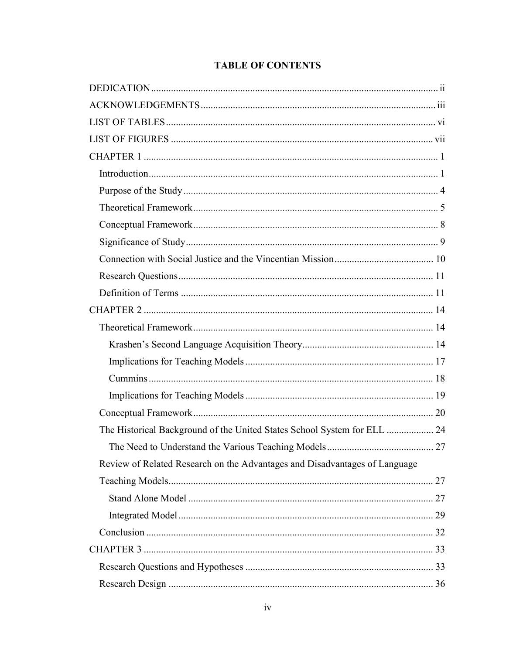# **TABLE OF CONTENTS**

| The Historical Background of the United States School System for ELL  24   |  |
|----------------------------------------------------------------------------|--|
|                                                                            |  |
| Review of Related Research on the Advantages and Disadvantages of Language |  |
|                                                                            |  |
|                                                                            |  |
|                                                                            |  |
|                                                                            |  |
|                                                                            |  |
|                                                                            |  |
|                                                                            |  |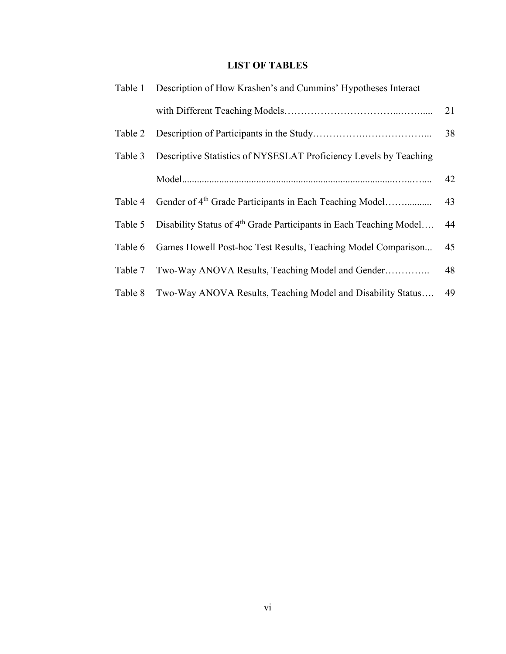# **LIST OF TABLES**

|         | Table 1 Description of How Krashen's and Cummins' Hypotheses Interact          |    |
|---------|--------------------------------------------------------------------------------|----|
|         |                                                                                | 21 |
| Table 2 |                                                                                | 38 |
| Table 3 | Descriptive Statistics of NYSESLAT Proficiency Levels by Teaching              |    |
|         |                                                                                | 42 |
| Table 4 | Gender of 4 <sup>th</sup> Grade Participants in Each Teaching Model            | 43 |
| Table 5 | Disability Status of 4 <sup>th</sup> Grade Participants in Each Teaching Model | 44 |
| Table 6 | Games Howell Post-hoc Test Results, Teaching Model Comparison                  | 45 |
| Table 7 | Two-Way ANOVA Results, Teaching Model and Gender                               | 48 |
| Table 8 | Two-Way ANOVA Results, Teaching Model and Disability Status                    | 49 |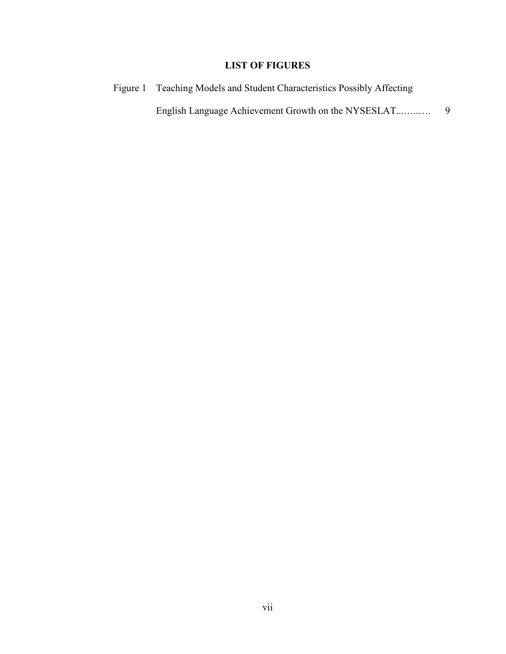# **LIST OF FIGURES**

Figure 1 Teaching Models and Student Characteristics Possibly Affecting English Language Achievement Growth on the NYSESLAT...…..…. 9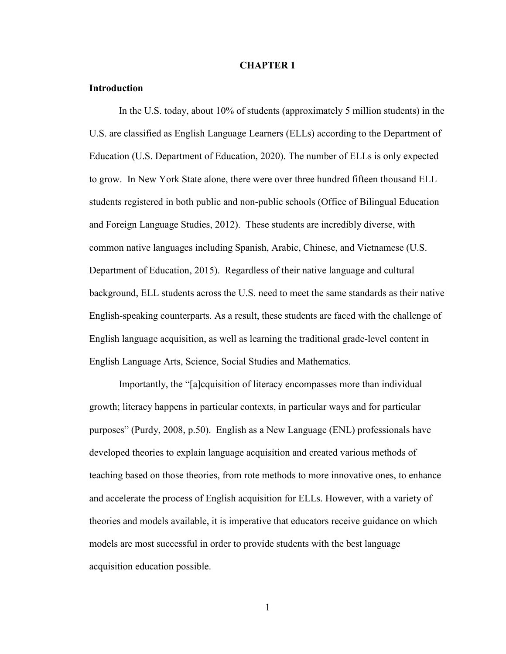#### **CHAPTER 1**

### **Introduction**

In the U.S. today, about 10% of students (approximately 5 million students) in the U.S. are classified as English Language Learners (ELLs) according to the Department of Education (U.S. Department of Education, 2020). The number of ELLs is only expected to grow. In New York State alone, there were over three hundred fifteen thousand ELL students registered in both public and non-public schools (Office of Bilingual Education and Foreign Language Studies, 2012). These students are incredibly diverse, with common native languages including Spanish, Arabic, Chinese, and Vietnamese (U.S. Department of Education, 2015). Regardless of their native language and cultural background, ELL students across the U.S. need to meet the same standards as their native English-speaking counterparts. As a result, these students are faced with the challenge of English language acquisition, as well as learning the traditional grade-level content in English Language Arts, Science, Social Studies and Mathematics.

Importantly, the "[a]cquisition of literacy encompasses more than individual growth; literacy happens in particular contexts, in particular ways and for particular purposes" (Purdy, 2008, p.50). English as a New Language (ENL) professionals have developed theories to explain language acquisition and created various methods of teaching based on those theories, from rote methods to more innovative ones, to enhance and accelerate the process of English acquisition for ELLs. However, with a variety of theories and models available, it is imperative that educators receive guidance on which models are most successful in order to provide students with the best language acquisition education possible.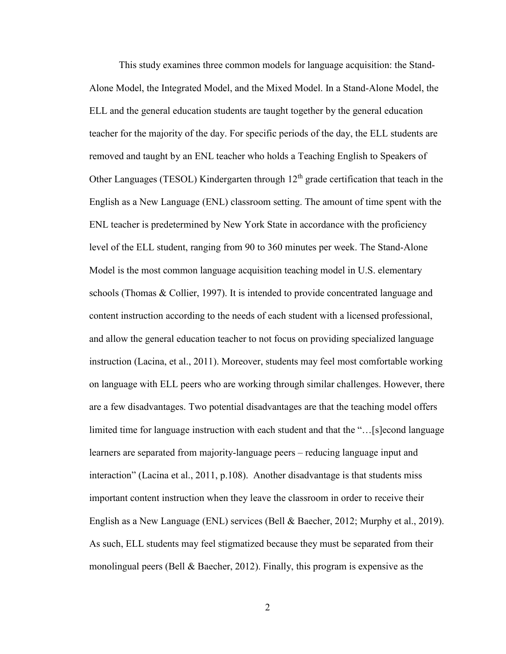This study examines three common models for language acquisition: the Stand-Alone Model, the Integrated Model, and the Mixed Model. In a Stand-Alone Model, the ELL and the general education students are taught together by the general education teacher for the majority of the day. For specific periods of the day, the ELL students are removed and taught by an ENL teacher who holds a Teaching English to Speakers of Other Languages (TESOL) Kindergarten through  $12<sup>th</sup>$  grade certification that teach in the English as a New Language (ENL) classroom setting. The amount of time spent with the ENL teacher is predetermined by New York State in accordance with the proficiency level of the ELL student, ranging from 90 to 360 minutes per week. The Stand-Alone Model is the most common language acquisition teaching model in U.S. elementary schools (Thomas & Collier, 1997). It is intended to provide concentrated language and content instruction according to the needs of each student with a licensed professional, and allow the general education teacher to not focus on providing specialized language instruction (Lacina, et al., 2011). Moreover, students may feel most comfortable working on language with ELL peers who are working through similar challenges. However, there are a few disadvantages. Two potential disadvantages are that the teaching model offers limited time for language instruction with each student and that the "…[s]econd language learners are separated from majority-language peers – reducing language input and interaction" (Lacina et al., 2011, p.108). Another disadvantage is that students miss important content instruction when they leave the classroom in order to receive their English as a New Language (ENL) services (Bell & Baecher, 2012; Murphy et al., 2019). As such, ELL students may feel stigmatized because they must be separated from their monolingual peers (Bell & Baecher, 2012). Finally, this program is expensive as the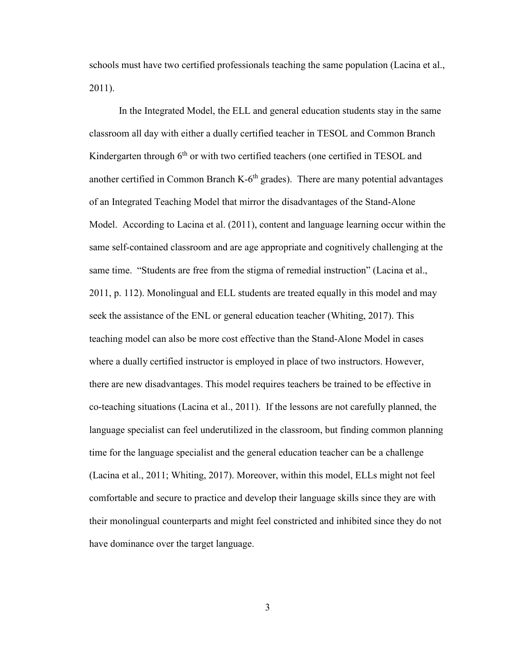schools must have two certified professionals teaching the same population (Lacina et al., 2011).

In the Integrated Model, the ELL and general education students stay in the same classroom all day with either a dually certified teacher in TESOL and Common Branch Kindergarten through  $6<sup>th</sup>$  or with two certified teachers (one certified in TESOL and another certified in Common Branch K- $6<sup>th</sup>$  grades). There are many potential advantages of an Integrated Teaching Model that mirror the disadvantages of the Stand-Alone Model. According to Lacina et al. (2011), content and language learning occur within the same self-contained classroom and are age appropriate and cognitively challenging at the same time. "Students are free from the stigma of remedial instruction" (Lacina et al., 2011, p. 112). Monolingual and ELL students are treated equally in this model and may seek the assistance of the ENL or general education teacher (Whiting, 2017). This teaching model can also be more cost effective than the Stand-Alone Model in cases where a dually certified instructor is employed in place of two instructors. However, there are new disadvantages. This model requires teachers be trained to be effective in co-teaching situations (Lacina et al., 2011). If the lessons are not carefully planned, the language specialist can feel underutilized in the classroom, but finding common planning time for the language specialist and the general education teacher can be a challenge (Lacina et al., 2011; Whiting, 2017). Moreover, within this model, ELLs might not feel comfortable and secure to practice and develop their language skills since they are with their monolingual counterparts and might feel constricted and inhibited since they do not have dominance over the target language.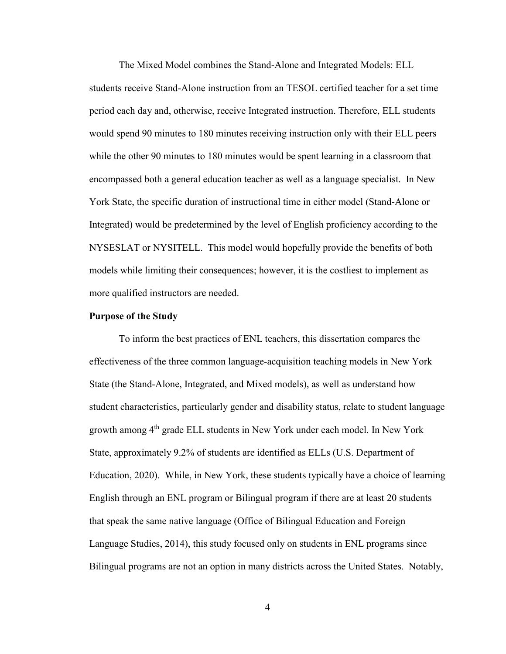The Mixed Model combines the Stand-Alone and Integrated Models: ELL students receive Stand-Alone instruction from an TESOL certified teacher for a set time period each day and, otherwise, receive Integrated instruction. Therefore, ELL students would spend 90 minutes to 180 minutes receiving instruction only with their ELL peers while the other 90 minutes to 180 minutes would be spent learning in a classroom that encompassed both a general education teacher as well as a language specialist. In New York State, the specific duration of instructional time in either model (Stand-Alone or Integrated) would be predetermined by the level of English proficiency according to the NYSESLAT or NYSITELL. This model would hopefully provide the benefits of both models while limiting their consequences; however, it is the costliest to implement as more qualified instructors are needed.

### **Purpose of the Study**

To inform the best practices of ENL teachers, this dissertation compares the effectiveness of the three common language-acquisition teaching models in New York State (the Stand-Alone, Integrated, and Mixed models), as well as understand how student characteristics, particularly gender and disability status, relate to student language growth among 4th grade ELL students in New York under each model. In New York State, approximately 9.2% of students are identified as ELLs (U.S. Department of Education, 2020). While, in New York, these students typically have a choice of learning English through an ENL program or Bilingual program if there are at least 20 students that speak the same native language (Office of Bilingual Education and Foreign Language Studies, 2014), this study focused only on students in ENL programs since Bilingual programs are not an option in many districts across the United States. Notably,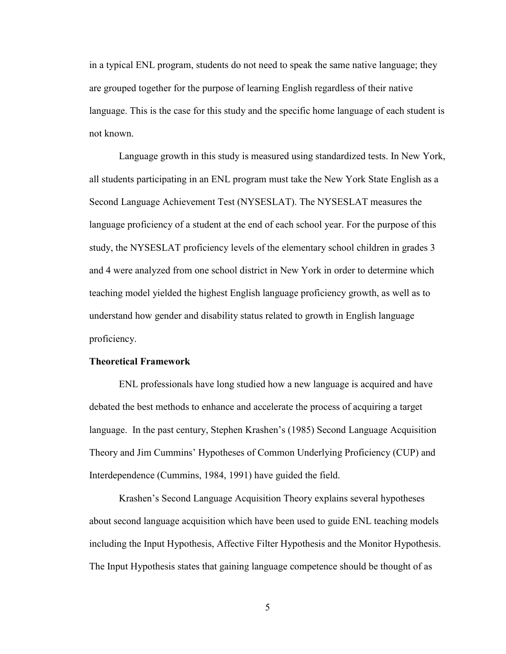in a typical ENL program, students do not need to speak the same native language; they are grouped together for the purpose of learning English regardless of their native language. This is the case for this study and the specific home language of each student is not known.

Language growth in this study is measured using standardized tests. In New York, all students participating in an ENL program must take the New York State English as a Second Language Achievement Test (NYSESLAT). The NYSESLAT measures the language proficiency of a student at the end of each school year. For the purpose of this study, the NYSESLAT proficiency levels of the elementary school children in grades 3 and 4 were analyzed from one school district in New York in order to determine which teaching model yielded the highest English language proficiency growth, as well as to understand how gender and disability status related to growth in English language proficiency.

## **Theoretical Framework**

ENL professionals have long studied how a new language is acquired and have debated the best methods to enhance and accelerate the process of acquiring a target language. In the past century, Stephen Krashen's (1985) Second Language Acquisition Theory and Jim Cummins' Hypotheses of Common Underlying Proficiency (CUP) and Interdependence (Cummins, 1984, 1991) have guided the field.

Krashen's Second Language Acquisition Theory explains several hypotheses about second language acquisition which have been used to guide ENL teaching models including the Input Hypothesis, Affective Filter Hypothesis and the Monitor Hypothesis. The Input Hypothesis states that gaining language competence should be thought of as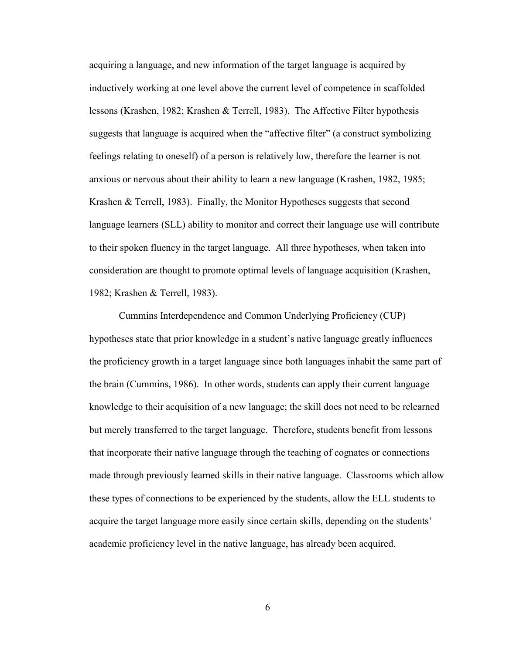acquiring a language, and new information of the target language is acquired by inductively working at one level above the current level of competence in scaffolded lessons (Krashen, 1982; Krashen & Terrell, 1983). The Affective Filter hypothesis suggests that language is acquired when the "affective filter" (a construct symbolizing feelings relating to oneself) of a person is relatively low, therefore the learner is not anxious or nervous about their ability to learn a new language (Krashen, 1982, 1985; Krashen & Terrell, 1983). Finally, the Monitor Hypotheses suggests that second language learners (SLL) ability to monitor and correct their language use will contribute to their spoken fluency in the target language. All three hypotheses, when taken into consideration are thought to promote optimal levels of language acquisition (Krashen, 1982; Krashen & Terrell, 1983).

Cummins Interdependence and Common Underlying Proficiency (CUP) hypotheses state that prior knowledge in a student's native language greatly influences the proficiency growth in a target language since both languages inhabit the same part of the brain (Cummins, 1986). In other words, students can apply their current language knowledge to their acquisition of a new language; the skill does not need to be relearned but merely transferred to the target language. Therefore, students benefit from lessons that incorporate their native language through the teaching of cognates or connections made through previously learned skills in their native language. Classrooms which allow these types of connections to be experienced by the students, allow the ELL students to acquire the target language more easily since certain skills, depending on the students' academic proficiency level in the native language, has already been acquired.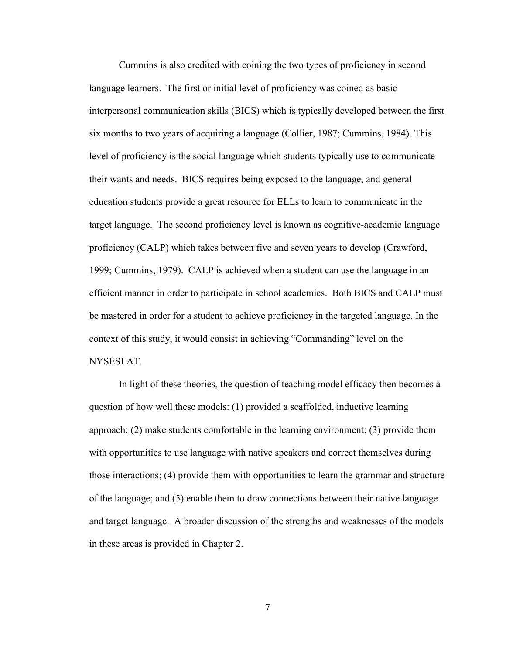Cummins is also credited with coining the two types of proficiency in second language learners. The first or initial level of proficiency was coined as basic interpersonal communication skills (BICS) which is typically developed between the first six months to two years of acquiring a language (Collier, 1987; Cummins, 1984). This level of proficiency is the social language which students typically use to communicate their wants and needs. BICS requires being exposed to the language, and general education students provide a great resource for ELLs to learn to communicate in the target language. The second proficiency level is known as cognitive-academic language proficiency (CALP) which takes between five and seven years to develop (Crawford, 1999; Cummins, 1979). CALP is achieved when a student can use the language in an efficient manner in order to participate in school academics. Both BICS and CALP must be mastered in order for a student to achieve proficiency in the targeted language. In the context of this study, it would consist in achieving "Commanding" level on the NYSESLAT.

In light of these theories, the question of teaching model efficacy then becomes a question of how well these models: (1) provided a scaffolded, inductive learning approach; (2) make students comfortable in the learning environment; (3) provide them with opportunities to use language with native speakers and correct themselves during those interactions; (4) provide them with opportunities to learn the grammar and structure of the language; and (5) enable them to draw connections between their native language and target language. A broader discussion of the strengths and weaknesses of the models in these areas is provided in Chapter 2.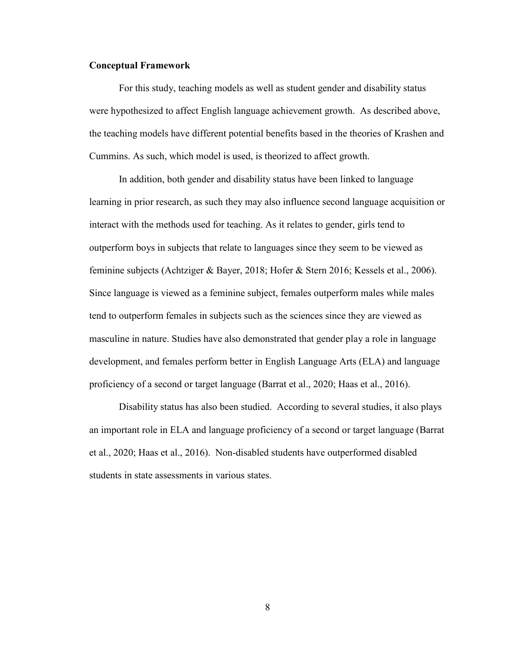## **Conceptual Framework**

For this study, teaching models as well as student gender and disability status were hypothesized to affect English language achievement growth. As described above, the teaching models have different potential benefits based in the theories of Krashen and Cummins. As such, which model is used, is theorized to affect growth.

In addition, both gender and disability status have been linked to language learning in prior research, as such they may also influence second language acquisition or interact with the methods used for teaching. As it relates to gender, girls tend to outperform boys in subjects that relate to languages since they seem to be viewed as feminine subjects (Achtziger & Bayer, 2018; Hofer & Stern 2016; Kessels et al., 2006). Since language is viewed as a feminine subject, females outperform males while males tend to outperform females in subjects such as the sciences since they are viewed as masculine in nature. Studies have also demonstrated that gender play a role in language development, and females perform better in English Language Arts (ELA) and language proficiency of a second or target language (Barrat et al., 2020; Haas et al., 2016).

Disability status has also been studied. According to several studies, it also plays an important role in ELA and language proficiency of a second or target language (Barrat et al., 2020; Haas et al., 2016). Non-disabled students have outperformed disabled students in state assessments in various states.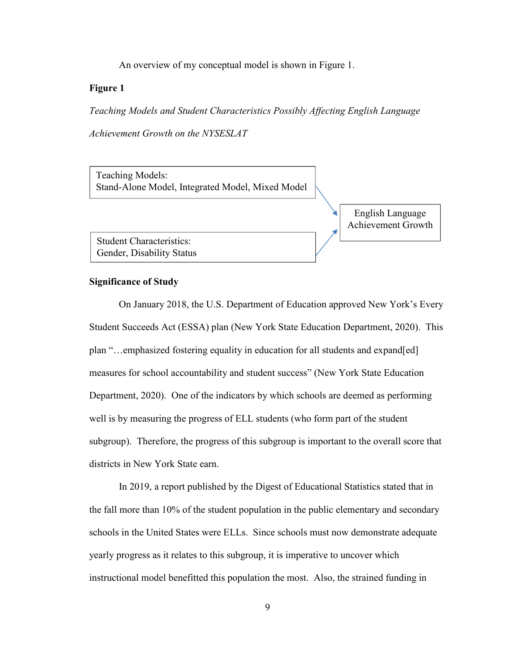An overview of my conceptual model is shown in Figure 1.

# **Figure 1**

*Teaching Models and Student Characteristics Possibly Affecting English Language* 

*Achievement Growth on the NYSESLAT* 

Teaching Models: Stand-Alone Model, Integrated Model, Mixed Model

> English Language Achievement Growth

Student Characteristics: Gender, Disability Status

### **Significance of Study**

On January 2018, the U.S. Department of Education approved New York's Every Student Succeeds Act (ESSA) plan (New York State Education Department, 2020). This plan "…emphasized fostering equality in education for all students and expand[ed] measures for school accountability and student success" (New York State Education Department, 2020). One of the indicators by which schools are deemed as performing well is by measuring the progress of ELL students (who form part of the student subgroup). Therefore, the progress of this subgroup is important to the overall score that districts in New York State earn.

In 2019, a report published by the Digest of Educational Statistics stated that in the fall more than 10% of the student population in the public elementary and secondary schools in the United States were ELLs. Since schools must now demonstrate adequate yearly progress as it relates to this subgroup, it is imperative to uncover which instructional model benefitted this population the most. Also, the strained funding in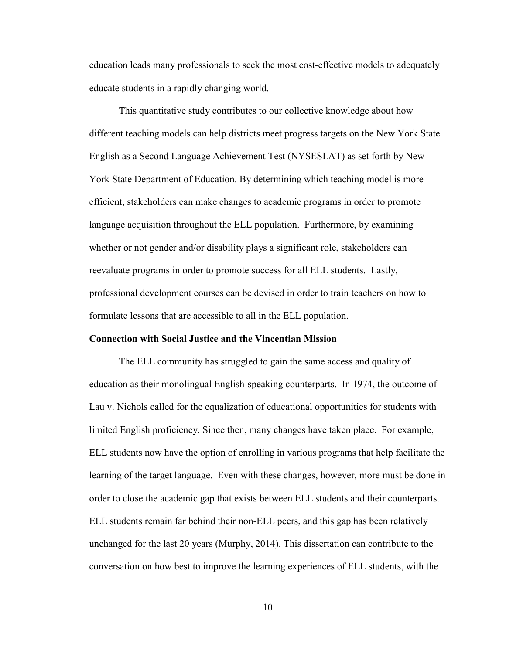education leads many professionals to seek the most cost-effective models to adequately educate students in a rapidly changing world.

This quantitative study contributes to our collective knowledge about how different teaching models can help districts meet progress targets on the New York State English as a Second Language Achievement Test (NYSESLAT) as set forth by New York State Department of Education. By determining which teaching model is more efficient, stakeholders can make changes to academic programs in order to promote language acquisition throughout the ELL population. Furthermore, by examining whether or not gender and/or disability plays a significant role, stakeholders can reevaluate programs in order to promote success for all ELL students. Lastly, professional development courses can be devised in order to train teachers on how to formulate lessons that are accessible to all in the ELL population.

#### **Connection with Social Justice and the Vincentian Mission**

The ELL community has struggled to gain the same access and quality of education as their monolingual English-speaking counterparts. In 1974, the outcome of Lau v. Nichols called for the equalization of educational opportunities for students with limited English proficiency. Since then, many changes have taken place. For example, ELL students now have the option of enrolling in various programs that help facilitate the learning of the target language. Even with these changes, however, more must be done in order to close the academic gap that exists between ELL students and their counterparts. ELL students remain far behind their non-ELL peers, and this gap has been relatively unchanged for the last 20 years (Murphy, 2014). This dissertation can contribute to the conversation on how best to improve the learning experiences of ELL students, with the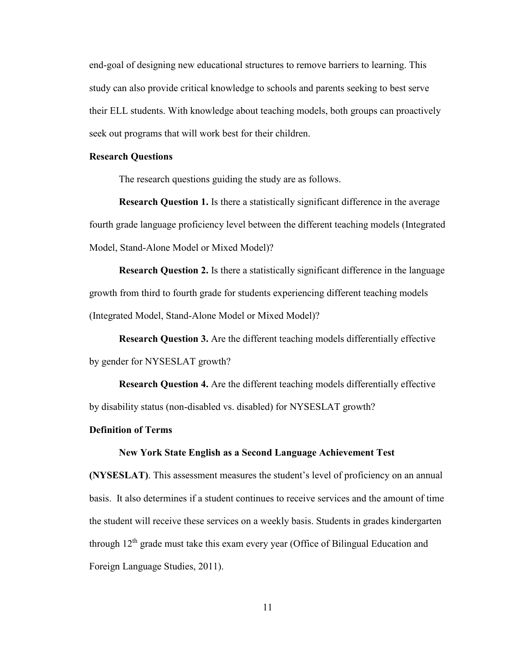end-goal of designing new educational structures to remove barriers to learning. This study can also provide critical knowledge to schools and parents seeking to best serve their ELL students. With knowledge about teaching models, both groups can proactively seek out programs that will work best for their children.

#### **Research Questions**

The research questions guiding the study are as follows.

**Research Question 1.** Is there a statistically significant difference in the average fourth grade language proficiency level between the different teaching models (Integrated Model, Stand-Alone Model or Mixed Model)?

**Research Question 2.** Is there a statistically significant difference in the language growth from third to fourth grade for students experiencing different teaching models (Integrated Model, Stand-Alone Model or Mixed Model)?

**Research Question 3.** Are the different teaching models differentially effective by gender for NYSESLAT growth?

**Research Question 4.** Are the different teaching models differentially effective by disability status (non-disabled vs. disabled) for NYSESLAT growth?

#### **Definition of Terms**

#### **New York State English as a Second Language Achievement Test**

**(NYSESLAT)**. This assessment measures the student's level of proficiency on an annual basis. It also determines if a student continues to receive services and the amount of time the student will receive these services on a weekly basis. Students in grades kindergarten through 12<sup>th</sup> grade must take this exam every year (Office of Bilingual Education and Foreign Language Studies, 2011).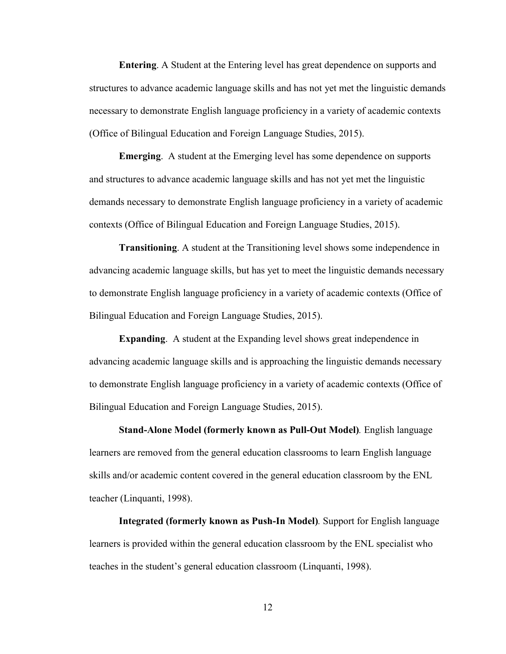**Entering**. A Student at the Entering level has great dependence on supports and structures to advance academic language skills and has not yet met the linguistic demands necessary to demonstrate English language proficiency in a variety of academic contexts (Office of Bilingual Education and Foreign Language Studies, 2015).

**Emerging**. A student at the Emerging level has some dependence on supports and structures to advance academic language skills and has not yet met the linguistic demands necessary to demonstrate English language proficiency in a variety of academic contexts (Office of Bilingual Education and Foreign Language Studies, 2015).

**Transitioning**. A student at the Transitioning level shows some independence in advancing academic language skills, but has yet to meet the linguistic demands necessary to demonstrate English language proficiency in a variety of academic contexts (Office of Bilingual Education and Foreign Language Studies, 2015).

**Expanding**. A student at the Expanding level shows great independence in advancing academic language skills and is approaching the linguistic demands necessary to demonstrate English language proficiency in a variety of academic contexts (Office of Bilingual Education and Foreign Language Studies, 2015).

**Stand-Alone Model (formerly known as Pull-Out Model)***.* English language learners are removed from the general education classrooms to learn English language skills and/or academic content covered in the general education classroom by the ENL teacher (Linquanti, 1998).

**Integrated (formerly known as Push-In Model)***.* Support for English language learners is provided within the general education classroom by the ENL specialist who teaches in the student's general education classroom (Linquanti, 1998).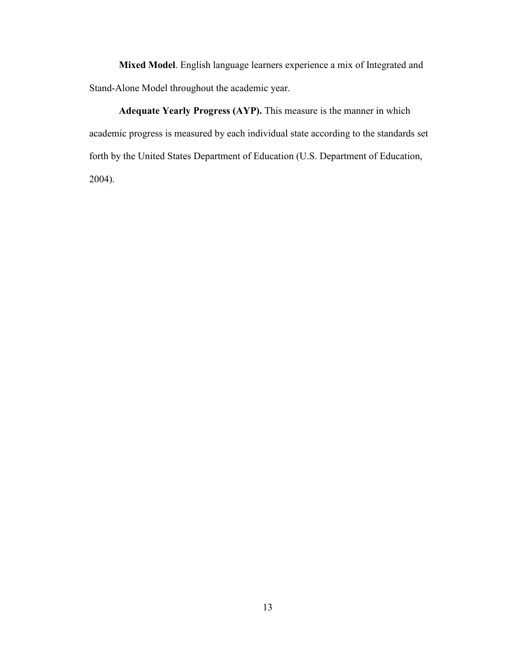**Mixed Model**. English language learners experience a mix of Integrated and Stand-Alone Model throughout the academic year.

**Adequate Yearly Progress (AYP).** This measure is the manner in which academic progress is measured by each individual state according to the standards set forth by the United States Department of Education (U.S. Department of Education, 2004).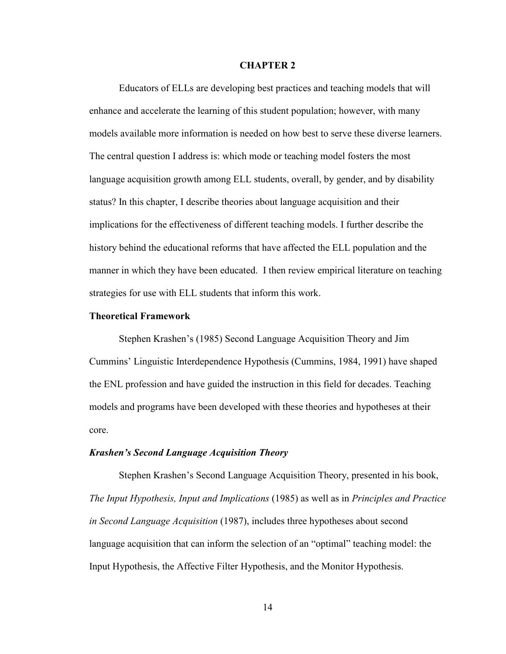#### **CHAPTER 2**

Educators of ELLs are developing best practices and teaching models that will enhance and accelerate the learning of this student population; however, with many models available more information is needed on how best to serve these diverse learners. The central question I address is: which mode or teaching model fosters the most language acquisition growth among ELL students, overall, by gender, and by disability status? In this chapter, I describe theories about language acquisition and their implications for the effectiveness of different teaching models. I further describe the history behind the educational reforms that have affected the ELL population and the manner in which they have been educated. I then review empirical literature on teaching strategies for use with ELL students that inform this work.

### **Theoretical Framework**

Stephen Krashen's (1985) Second Language Acquisition Theory and Jim Cummins' Linguistic Interdependence Hypothesis (Cummins, 1984, 1991) have shaped the ENL profession and have guided the instruction in this field for decades. Teaching models and programs have been developed with these theories and hypotheses at their core.

#### *Krashen's Second Language Acquisition Theory*

 Stephen Krashen's Second Language Acquisition Theory, presented in his book, *The Input Hypothesis, Input and Implications* (1985) as well as in *Principles and Practice in Second Language Acquisition* (1987), includes three hypotheses about second language acquisition that can inform the selection of an "optimal" teaching model: the Input Hypothesis, the Affective Filter Hypothesis, and the Monitor Hypothesis.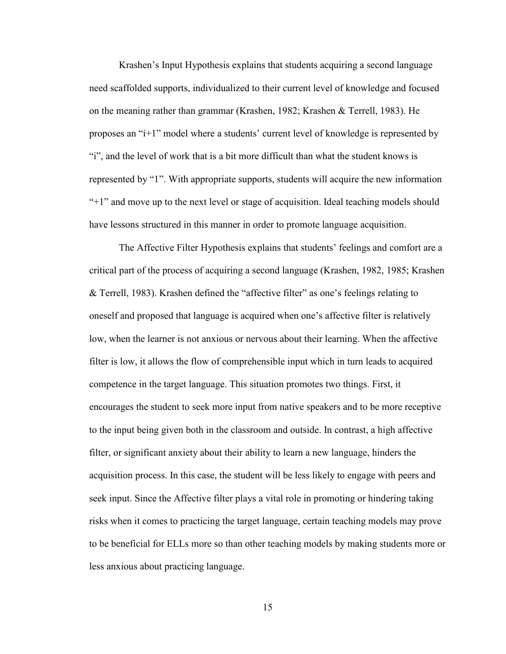Krashen's Input Hypothesis explains that students acquiring a second language need scaffolded supports, individualized to their current level of knowledge and focused on the meaning rather than grammar (Krashen, 1982; Krashen & Terrell, 1983). He proposes an "i+1" model where a students' current level of knowledge is represented by "i", and the level of work that is a bit more difficult than what the student knows is represented by "1". With appropriate supports, students will acquire the new information "+1" and move up to the next level or stage of acquisition. Ideal teaching models should have lessons structured in this manner in order to promote language acquisition.

The Affective Filter Hypothesis explains that students' feelings and comfort are a critical part of the process of acquiring a second language (Krashen, 1982, 1985; Krashen & Terrell, 1983). Krashen defined the "affective filter" as one's feelings relating to oneself and proposed that language is acquired when one's affective filter is relatively low, when the learner is not anxious or nervous about their learning. When the affective filter is low, it allows the flow of comprehensible input which in turn leads to acquired competence in the target language. This situation promotes two things. First, it encourages the student to seek more input from native speakers and to be more receptive to the input being given both in the classroom and outside. In contrast, a high affective filter, or significant anxiety about their ability to learn a new language, hinders the acquisition process. In this case, the student will be less likely to engage with peers and seek input. Since the Affective filter plays a vital role in promoting or hindering taking risks when it comes to practicing the target language, certain teaching models may prove to be beneficial for ELLs more so than other teaching models by making students more or less anxious about practicing language.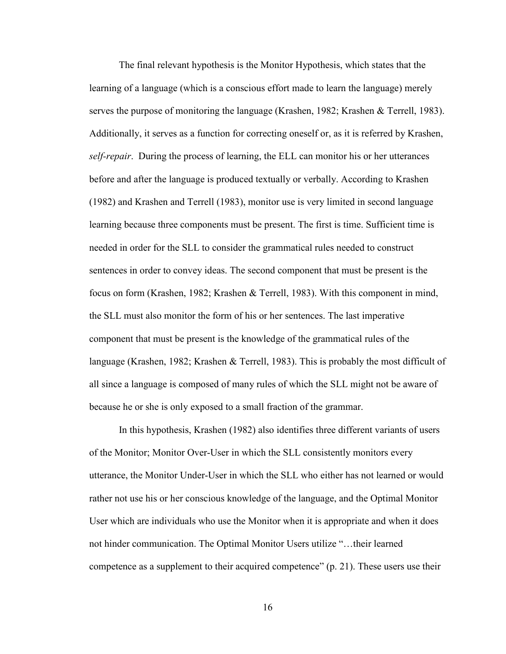The final relevant hypothesis is the Monitor Hypothesis, which states that the learning of a language (which is a conscious effort made to learn the language) merely serves the purpose of monitoring the language (Krashen, 1982; Krashen & Terrell, 1983). Additionally, it serves as a function for correcting oneself or, as it is referred by Krashen, *self-repair*. During the process of learning, the ELL can monitor his or her utterances before and after the language is produced textually or verbally. According to Krashen (1982) and Krashen and Terrell (1983), monitor use is very limited in second language learning because three components must be present. The first is time. Sufficient time is needed in order for the SLL to consider the grammatical rules needed to construct sentences in order to convey ideas. The second component that must be present is the focus on form (Krashen, 1982; Krashen & Terrell, 1983). With this component in mind, the SLL must also monitor the form of his or her sentences. The last imperative component that must be present is the knowledge of the grammatical rules of the language (Krashen, 1982; Krashen & Terrell, 1983). This is probably the most difficult of all since a language is composed of many rules of which the SLL might not be aware of because he or she is only exposed to a small fraction of the grammar.

In this hypothesis, Krashen (1982) also identifies three different variants of users of the Monitor; Monitor Over-User in which the SLL consistently monitors every utterance, the Monitor Under-User in which the SLL who either has not learned or would rather not use his or her conscious knowledge of the language, and the Optimal Monitor User which are individuals who use the Monitor when it is appropriate and when it does not hinder communication. The Optimal Monitor Users utilize "…their learned competence as a supplement to their acquired competence" (p. 21). These users use their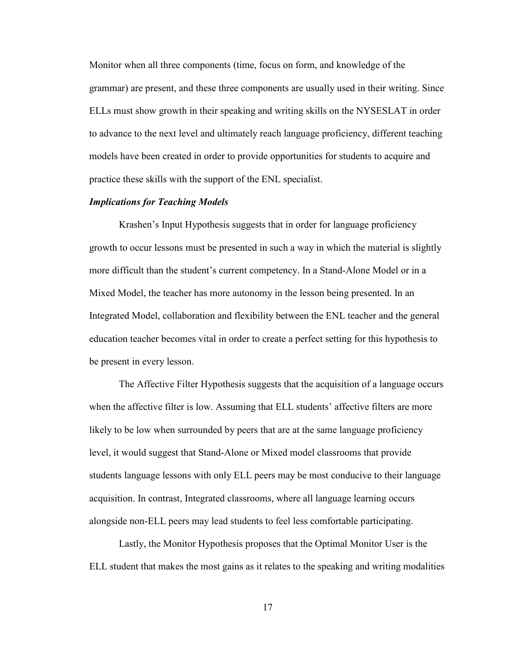Monitor when all three components (time, focus on form, and knowledge of the grammar) are present, and these three components are usually used in their writing. Since ELLs must show growth in their speaking and writing skills on the NYSESLAT in order to advance to the next level and ultimately reach language proficiency, different teaching models have been created in order to provide opportunities for students to acquire and practice these skills with the support of the ENL specialist.

# *Implications for Teaching Models*

Krashen's Input Hypothesis suggests that in order for language proficiency growth to occur lessons must be presented in such a way in which the material is slightly more difficult than the student's current competency. In a Stand-Alone Model or in a Mixed Model, the teacher has more autonomy in the lesson being presented. In an Integrated Model, collaboration and flexibility between the ENL teacher and the general education teacher becomes vital in order to create a perfect setting for this hypothesis to be present in every lesson.

The Affective Filter Hypothesis suggests that the acquisition of a language occurs when the affective filter is low. Assuming that ELL students' affective filters are more likely to be low when surrounded by peers that are at the same language proficiency level, it would suggest that Stand-Alone or Mixed model classrooms that provide students language lessons with only ELL peers may be most conducive to their language acquisition. In contrast, Integrated classrooms, where all language learning occurs alongside non-ELL peers may lead students to feel less comfortable participating.

Lastly, the Monitor Hypothesis proposes that the Optimal Monitor User is the ELL student that makes the most gains as it relates to the speaking and writing modalities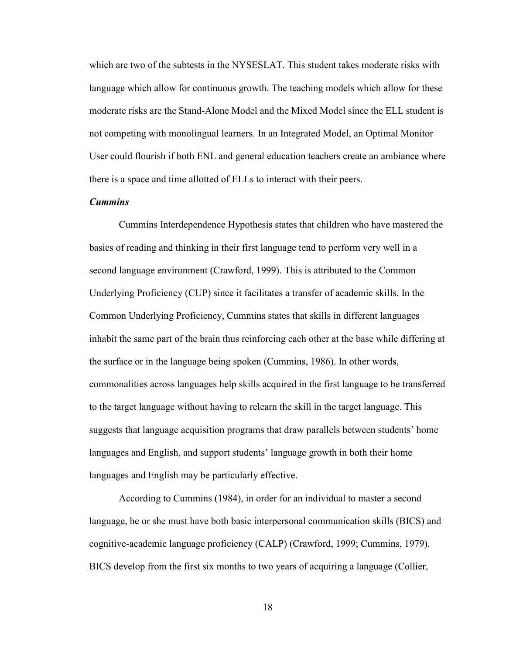which are two of the subtests in the NYSESLAT. This student takes moderate risks with language which allow for continuous growth. The teaching models which allow for these moderate risks are the Stand-Alone Model and the Mixed Model since the ELL student is not competing with monolingual learners. In an Integrated Model, an Optimal Monitor User could flourish if both ENL and general education teachers create an ambiance where there is a space and time allotted of ELLs to interact with their peers.

# *Cummins*

Cummins Interdependence Hypothesis states that children who have mastered the basics of reading and thinking in their first language tend to perform very well in a second language environment (Crawford, 1999). This is attributed to the Common Underlying Proficiency (CUP) since it facilitates a transfer of academic skills. In the Common Underlying Proficiency, Cummins states that skills in different languages inhabit the same part of the brain thus reinforcing each other at the base while differing at the surface or in the language being spoken (Cummins, 1986). In other words, commonalities across languages help skills acquired in the first language to be transferred to the target language without having to relearn the skill in the target language. This suggests that language acquisition programs that draw parallels between students' home languages and English, and support students' language growth in both their home languages and English may be particularly effective.

According to Cummins (1984), in order for an individual to master a second language, he or she must have both basic interpersonal communication skills (BICS) and cognitive-academic language proficiency (CALP) (Crawford, 1999; Cummins, 1979). BICS develop from the first six months to two years of acquiring a language (Collier,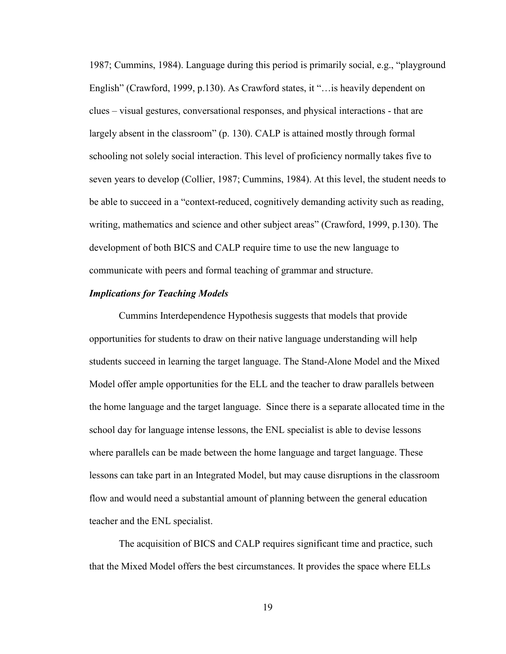1987; Cummins, 1984). Language during this period is primarily social, e.g., "playground English" (Crawford, 1999, p.130). As Crawford states, it "…is heavily dependent on clues – visual gestures, conversational responses, and physical interactions - that are largely absent in the classroom" (p. 130). CALP is attained mostly through formal schooling not solely social interaction. This level of proficiency normally takes five to seven years to develop (Collier, 1987; Cummins, 1984). At this level, the student needs to be able to succeed in a "context-reduced, cognitively demanding activity such as reading, writing, mathematics and science and other subject areas" (Crawford, 1999, p.130). The development of both BICS and CALP require time to use the new language to communicate with peers and formal teaching of grammar and structure.

### *Implications for Teaching Models*

Cummins Interdependence Hypothesis suggests that models that provide opportunities for students to draw on their native language understanding will help students succeed in learning the target language. The Stand-Alone Model and the Mixed Model offer ample opportunities for the ELL and the teacher to draw parallels between the home language and the target language. Since there is a separate allocated time in the school day for language intense lessons, the ENL specialist is able to devise lessons where parallels can be made between the home language and target language. These lessons can take part in an Integrated Model, but may cause disruptions in the classroom flow and would need a substantial amount of planning between the general education teacher and the ENL specialist.

The acquisition of BICS and CALP requires significant time and practice, such that the Mixed Model offers the best circumstances. It provides the space where ELLs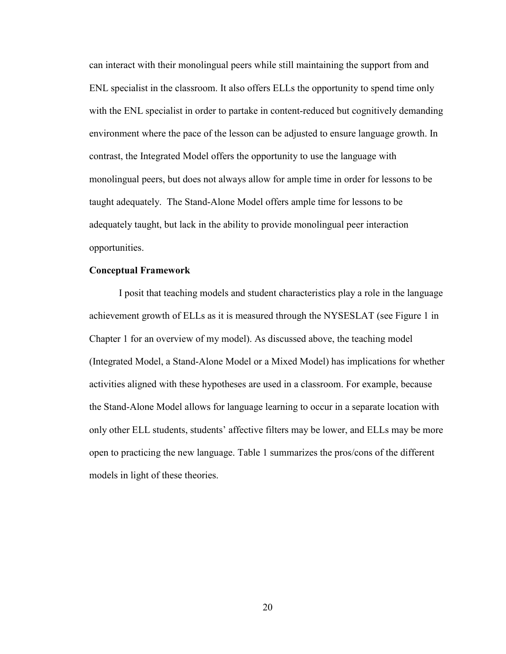can interact with their monolingual peers while still maintaining the support from and ENL specialist in the classroom. It also offers ELLs the opportunity to spend time only with the ENL specialist in order to partake in content-reduced but cognitively demanding environment where the pace of the lesson can be adjusted to ensure language growth. In contrast, the Integrated Model offers the opportunity to use the language with monolingual peers, but does not always allow for ample time in order for lessons to be taught adequately. The Stand-Alone Model offers ample time for lessons to be adequately taught, but lack in the ability to provide monolingual peer interaction opportunities.

# **Conceptual Framework**

 I posit that teaching models and student characteristics play a role in the language achievement growth of ELLs as it is measured through the NYSESLAT (see Figure 1 in Chapter 1 for an overview of my model). As discussed above, the teaching model (Integrated Model, a Stand-Alone Model or a Mixed Model) has implications for whether activities aligned with these hypotheses are used in a classroom. For example, because the Stand-Alone Model allows for language learning to occur in a separate location with only other ELL students, students' affective filters may be lower, and ELLs may be more open to practicing the new language. Table 1 summarizes the pros/cons of the different models in light of these theories.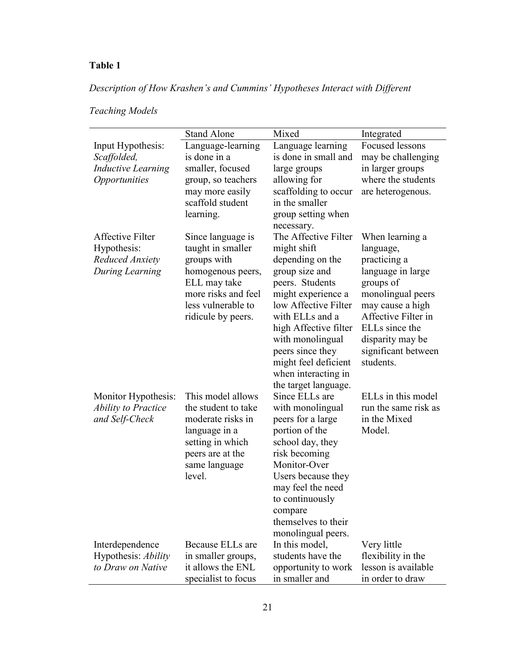# **Table 1**

# *Description of How Krashen's and Cummins' Hypotheses Interact with Different*

|                                                                                              | <b>Stand Alone</b>                                                                                                                                            | Mixed                                                                                                                                                                                                                                                                                                 | Integrated                                                                                                                                                                                                               |
|----------------------------------------------------------------------------------------------|---------------------------------------------------------------------------------------------------------------------------------------------------------------|-------------------------------------------------------------------------------------------------------------------------------------------------------------------------------------------------------------------------------------------------------------------------------------------------------|--------------------------------------------------------------------------------------------------------------------------------------------------------------------------------------------------------------------------|
| Input Hypothesis:<br>Scaffolded,<br><b>Inductive Learning</b><br><i><b>Opportunities</b></i> | Language-learning<br>is done in a<br>smaller, focused<br>group, so teachers<br>may more easily<br>scaffold student<br>learning.                               | Language learning<br>is done in small and<br>large groups<br>allowing for<br>scaffolding to occur<br>in the smaller<br>group setting when<br>necessary.                                                                                                                                               | Focused lessons<br>may be challenging<br>in larger groups<br>where the students<br>are heterogenous.                                                                                                                     |
| <b>Affective Filter</b><br>Hypothesis:<br>Reduced Anxiety<br>During Learning                 | Since language is<br>taught in smaller<br>groups with<br>homogenous peers,<br>ELL may take<br>more risks and feel<br>less vulnerable to<br>ridicule by peers. | The Affective Filter<br>might shift<br>depending on the<br>group size and<br>peers. Students<br>might experience a<br>low Affective Filter<br>with ELLs and a<br>high Affective filter<br>with monolingual<br>peers since they<br>might feel deficient<br>when interacting in<br>the target language. | When learning a<br>language,<br>practicing a<br>language in large<br>groups of<br>monolingual peers<br>may cause a high<br>Affective Filter in<br>ELLs since the<br>disparity may be<br>significant between<br>students. |
| Monitor Hypothesis:<br><b>Ability to Practice</b><br>and Self-Check                          | This model allows<br>the student to take<br>moderate risks in<br>language in a<br>setting in which<br>peers are at the<br>same language<br>level.             | Since ELLs are<br>with monolingual<br>peers for a large<br>portion of the<br>school day, they<br>risk becoming<br>Monitor-Over<br>Users because they<br>may feel the need<br>to continuously<br>compare<br>themselves to their<br>monolingual peers.                                                  | ELLs in this model<br>run the same risk as<br>in the Mixed<br>Model.                                                                                                                                                     |
| Interdependence<br>Hypothesis: Ability<br>to Draw on Native                                  | Because ELLs are<br>in smaller groups,<br>it allows the ENL<br>specialist to focus                                                                            | In this model,<br>students have the<br>opportunity to work<br>in smaller and                                                                                                                                                                                                                          | Very little<br>flexibility in the<br>lesson is available<br>in order to draw                                                                                                                                             |

# *Teaching Models*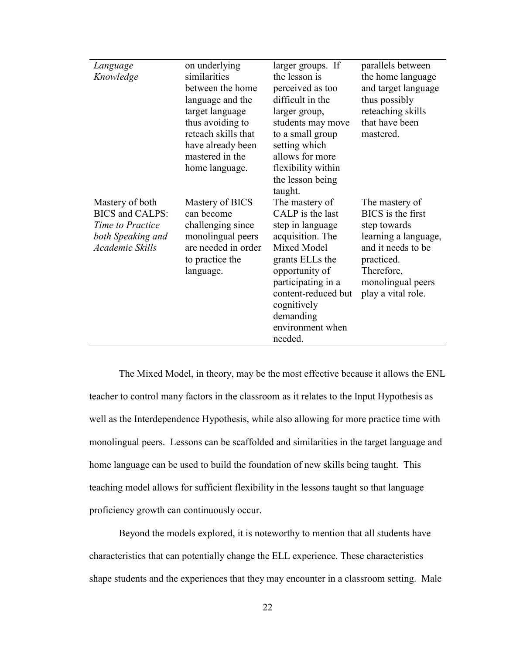| Language               | on underlying       | larger groups. If   | parallels between    |
|------------------------|---------------------|---------------------|----------------------|
| Knowledge              | similarities        | the lesson is       | the home language    |
|                        | between the home    | perceived as too    | and target language  |
|                        | language and the    | difficult in the    | thus possibly        |
|                        | target language     | larger group,       | reteaching skills    |
|                        | thus avoiding to    | students may move   | that have been       |
|                        | reteach skills that | to a small group    | mastered.            |
|                        | have already been   | setting which       |                      |
|                        | mastered in the     | allows for more     |                      |
|                        | home language.      | flexibility within  |                      |
|                        |                     | the lesson being    |                      |
|                        |                     | taught.             |                      |
| Mastery of both        | Mastery of BICS     | The mastery of      | The mastery of       |
| <b>BICS</b> and CALPS: | can become          | CALP is the last    | BICS is the first    |
| Time to Practice       | challenging since   | step in language    | step towards         |
| both Speaking and      | monolingual peers   | acquisition. The    | learning a language, |
| Academic Skills        | are needed in order | Mixed Model         | and it needs to be   |
|                        | to practice the     | grants ELLs the     | practiced.           |
|                        | language.           | opportunity of      | Therefore,           |
|                        |                     | participating in a  | monolingual peers    |
|                        |                     | content-reduced but | play a vital role.   |
|                        |                     | cognitively         |                      |
|                        |                     | demanding           |                      |
|                        |                     | environment when    |                      |
|                        |                     | needed.             |                      |
|                        |                     |                     |                      |

The Mixed Model, in theory, may be the most effective because it allows the ENL teacher to control many factors in the classroom as it relates to the Input Hypothesis as well as the Interdependence Hypothesis, while also allowing for more practice time with monolingual peers. Lessons can be scaffolded and similarities in the target language and home language can be used to build the foundation of new skills being taught. This teaching model allows for sufficient flexibility in the lessons taught so that language proficiency growth can continuously occur.

Beyond the models explored, it is noteworthy to mention that all students have characteristics that can potentially change the ELL experience. These characteristics shape students and the experiences that they may encounter in a classroom setting. Male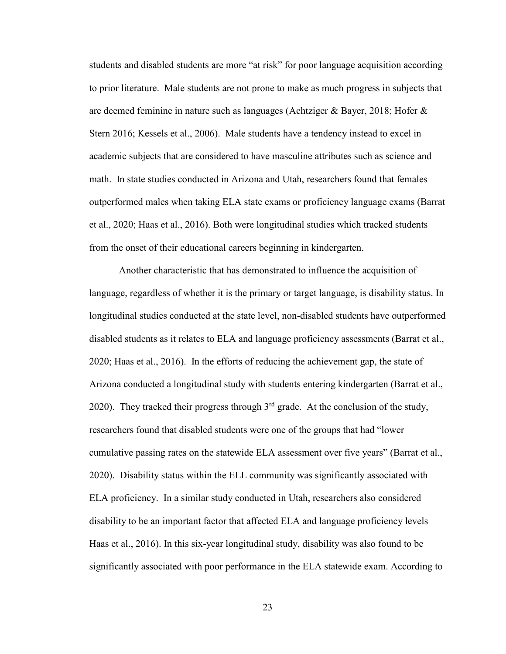students and disabled students are more "at risk" for poor language acquisition according to prior literature. Male students are not prone to make as much progress in subjects that are deemed feminine in nature such as languages (Achtziger & Bayer, 2018; Hofer & Stern 2016; Kessels et al., 2006). Male students have a tendency instead to excel in academic subjects that are considered to have masculine attributes such as science and math. In state studies conducted in Arizona and Utah, researchers found that females outperformed males when taking ELA state exams or proficiency language exams (Barrat et al., 2020; Haas et al., 2016). Both were longitudinal studies which tracked students from the onset of their educational careers beginning in kindergarten.

Another characteristic that has demonstrated to influence the acquisition of language, regardless of whether it is the primary or target language, is disability status. In longitudinal studies conducted at the state level, non-disabled students have outperformed disabled students as it relates to ELA and language proficiency assessments (Barrat et al., 2020; Haas et al., 2016). In the efforts of reducing the achievement gap, the state of Arizona conducted a longitudinal study with students entering kindergarten (Barrat et al., 2020). They tracked their progress through  $3<sup>rd</sup>$  grade. At the conclusion of the study, researchers found that disabled students were one of the groups that had "lower cumulative passing rates on the statewide ELA assessment over five years" (Barrat et al., 2020). Disability status within the ELL community was significantly associated with ELA proficiency. In a similar study conducted in Utah, researchers also considered disability to be an important factor that affected ELA and language proficiency levels Haas et al., 2016). In this six-year longitudinal study, disability was also found to be significantly associated with poor performance in the ELA statewide exam. According to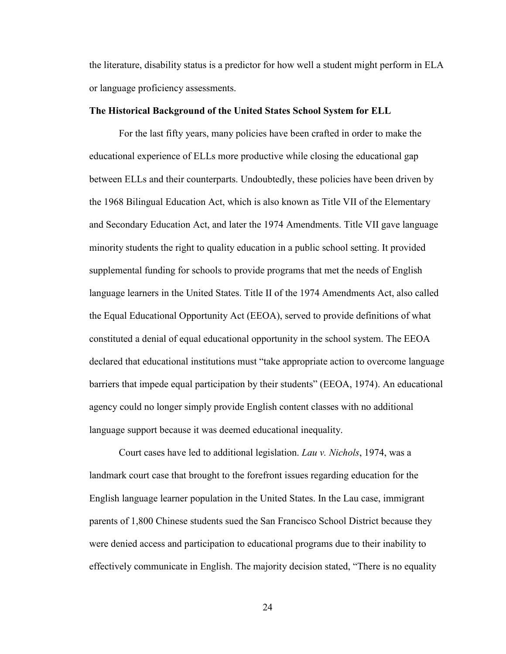the literature, disability status is a predictor for how well a student might perform in ELA or language proficiency assessments.

## **The Historical Background of the United States School System for ELL**

For the last fifty years, many policies have been crafted in order to make the educational experience of ELLs more productive while closing the educational gap between ELLs and their counterparts. Undoubtedly, these policies have been driven by the 1968 Bilingual Education Act, which is also known as Title VII of the Elementary and Secondary Education Act, and later the 1974 Amendments. Title VII gave language minority students the right to quality education in a public school setting. It provided supplemental funding for schools to provide programs that met the needs of English language learners in the United States. Title II of the 1974 Amendments Act, also called the Equal Educational Opportunity Act (EEOA), served to provide definitions of what constituted a denial of equal educational opportunity in the school system. The EEOA declared that educational institutions must "take appropriate action to overcome language barriers that impede equal participation by their students" (EEOA, 1974). An educational agency could no longer simply provide English content classes with no additional language support because it was deemed educational inequality.

 Court cases have led to additional legislation. *Lau v. Nichols*, 1974, was a landmark court case that brought to the forefront issues regarding education for the English language learner population in the United States. In the Lau case, immigrant parents of 1,800 Chinese students sued the San Francisco School District because they were denied access and participation to educational programs due to their inability to effectively communicate in English. The majority decision stated, "There is no equality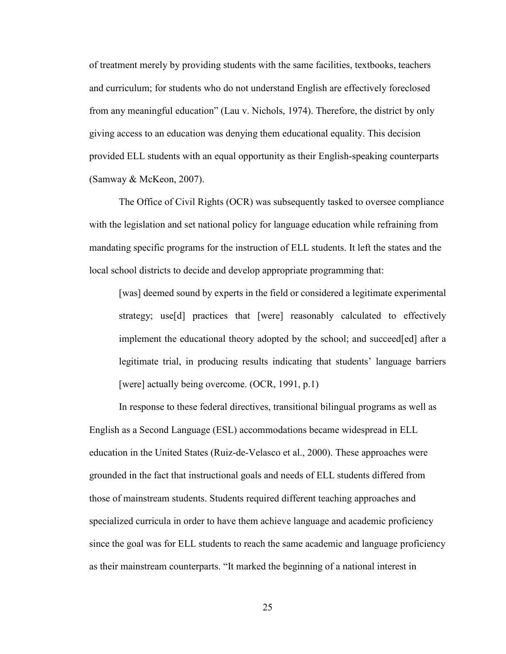of treatment merely by providing students with the same facilities, textbooks, teachers and curriculum; for students who do not understand English are effectively foreclosed from any meaningful education" (Lau v. Nichols, 1974). Therefore, the district by only giving access to an education was denying them educational equality. This decision provided ELL students with an equal opportunity as their English-speaking counterparts (Samway & McKeon, 2007).

 The Office of Civil Rights (OCR) was subsequently tasked to oversee compliance with the legislation and set national policy for language education while refraining from mandating specific programs for the instruction of ELL students. It left the states and the local school districts to decide and develop appropriate programming that:

[was] deemed sound by experts in the field or considered a legitimate experimental strategy; use[d] practices that [were] reasonably calculated to effectively implement the educational theory adopted by the school; and succeed[ed] after a legitimate trial, in producing results indicating that students' language barriers [were] actually being overcome. (OCR, 1991, p.1)

 In response to these federal directives, transitional bilingual programs as well as English as a Second Language (ESL) accommodations became widespread in ELL education in the United States (Ruiz-de-Velasco et al., 2000). These approaches were grounded in the fact that instructional goals and needs of ELL students differed from those of mainstream students. Students required different teaching approaches and specialized curricula in order to have them achieve language and academic proficiency since the goal was for ELL students to reach the same academic and language proficiency as their mainstream counterparts. "It marked the beginning of a national interest in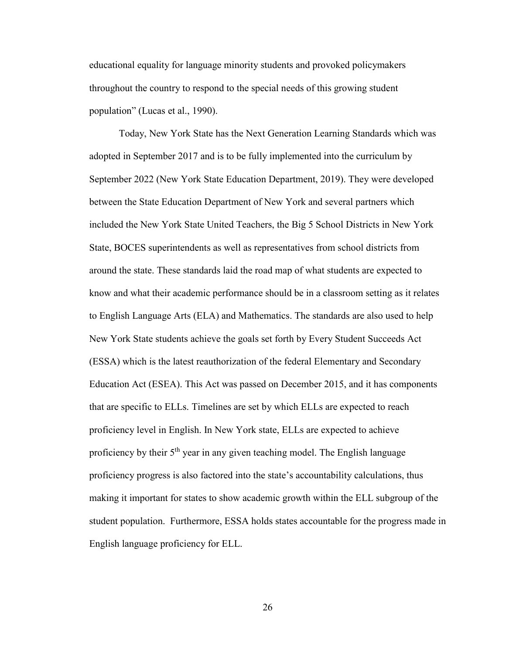educational equality for language minority students and provoked policymakers throughout the country to respond to the special needs of this growing student population" (Lucas et al., 1990).

 Today, New York State has the Next Generation Learning Standards which was adopted in September 2017 and is to be fully implemented into the curriculum by September 2022 (New York State Education Department, 2019). They were developed between the State Education Department of New York and several partners which included the New York State United Teachers, the Big 5 School Districts in New York State, BOCES superintendents as well as representatives from school districts from around the state. These standards laid the road map of what students are expected to know and what their academic performance should be in a classroom setting as it relates to English Language Arts (ELA) and Mathematics. The standards are also used to help New York State students achieve the goals set forth by Every Student Succeeds Act (ESSA) which is the latest reauthorization of the federal Elementary and Secondary Education Act (ESEA). This Act was passed on December 2015, and it has components that are specific to ELLs. Timelines are set by which ELLs are expected to reach proficiency level in English. In New York state, ELLs are expected to achieve proficiency by their 5<sup>th</sup> year in any given teaching model. The English language proficiency progress is also factored into the state's accountability calculations, thus making it important for states to show academic growth within the ELL subgroup of the student population. Furthermore, ESSA holds states accountable for the progress made in English language proficiency for ELL.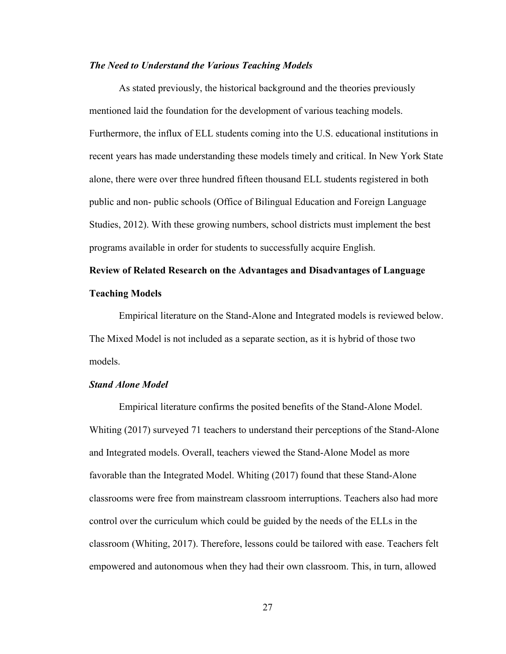## *The Need to Understand the Various Teaching Models*

As stated previously, the historical background and the theories previously mentioned laid the foundation for the development of various teaching models. Furthermore, the influx of ELL students coming into the U.S. educational institutions in recent years has made understanding these models timely and critical. In New York State alone, there were over three hundred fifteen thousand ELL students registered in both public and non- public schools (Office of Bilingual Education and Foreign Language Studies, 2012). With these growing numbers, school districts must implement the best programs available in order for students to successfully acquire English.

# **Review of Related Research on the Advantages and Disadvantages of Language Teaching Models**

Empirical literature on the Stand-Alone and Integrated models is reviewed below. The Mixed Model is not included as a separate section, as it is hybrid of those two models.

## *Stand Alone Model*

Empirical literature confirms the posited benefits of the Stand-Alone Model. Whiting (2017) surveyed 71 teachers to understand their perceptions of the Stand-Alone and Integrated models. Overall, teachers viewed the Stand-Alone Model as more favorable than the Integrated Model. Whiting (2017) found that these Stand-Alone classrooms were free from mainstream classroom interruptions. Teachers also had more control over the curriculum which could be guided by the needs of the ELLs in the classroom (Whiting, 2017). Therefore, lessons could be tailored with ease. Teachers felt empowered and autonomous when they had their own classroom. This, in turn, allowed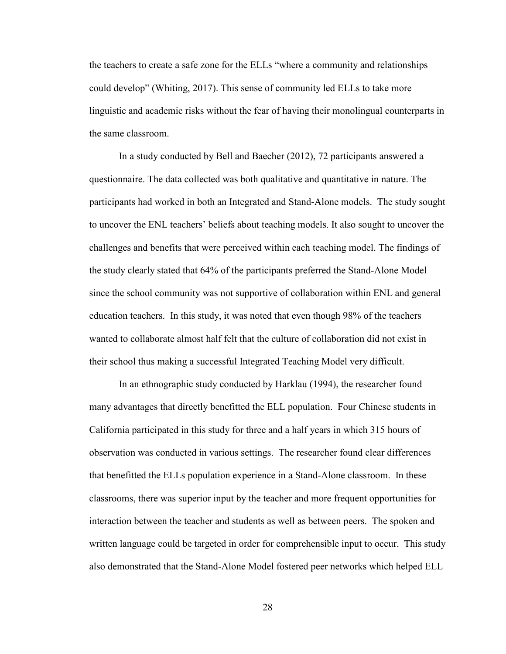the teachers to create a safe zone for the ELLs "where a community and relationships could develop" (Whiting, 2017). This sense of community led ELLs to take more linguistic and academic risks without the fear of having their monolingual counterparts in the same classroom.

In a study conducted by Bell and Baecher (2012), 72 participants answered a questionnaire. The data collected was both qualitative and quantitative in nature. The participants had worked in both an Integrated and Stand-Alone models. The study sought to uncover the ENL teachers' beliefs about teaching models. It also sought to uncover the challenges and benefits that were perceived within each teaching model. The findings of the study clearly stated that 64% of the participants preferred the Stand-Alone Model since the school community was not supportive of collaboration within ENL and general education teachers. In this study, it was noted that even though 98% of the teachers wanted to collaborate almost half felt that the culture of collaboration did not exist in their school thus making a successful Integrated Teaching Model very difficult.

In an ethnographic study conducted by Harklau (1994), the researcher found many advantages that directly benefitted the ELL population. Four Chinese students in California participated in this study for three and a half years in which 315 hours of observation was conducted in various settings. The researcher found clear differences that benefitted the ELLs population experience in a Stand-Alone classroom. In these classrooms, there was superior input by the teacher and more frequent opportunities for interaction between the teacher and students as well as between peers. The spoken and written language could be targeted in order for comprehensible input to occur. This study also demonstrated that the Stand-Alone Model fostered peer networks which helped ELL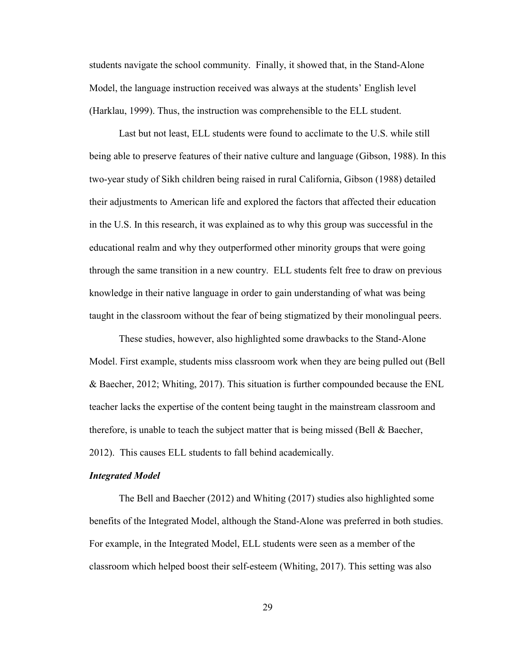students navigate the school community. Finally, it showed that, in the Stand-Alone Model, the language instruction received was always at the students' English level (Harklau, 1999). Thus, the instruction was comprehensible to the ELL student.

Last but not least, ELL students were found to acclimate to the U.S. while still being able to preserve features of their native culture and language (Gibson, 1988). In this two-year study of Sikh children being raised in rural California, Gibson (1988) detailed their adjustments to American life and explored the factors that affected their education in the U.S. In this research, it was explained as to why this group was successful in the educational realm and why they outperformed other minority groups that were going through the same transition in a new country. ELL students felt free to draw on previous knowledge in their native language in order to gain understanding of what was being taught in the classroom without the fear of being stigmatized by their monolingual peers.

These studies, however, also highlighted some drawbacks to the Stand-Alone Model. First example, students miss classroom work when they are being pulled out (Bell & Baecher, 2012; Whiting, 2017). This situation is further compounded because the ENL teacher lacks the expertise of the content being taught in the mainstream classroom and therefore, is unable to teach the subject matter that is being missed (Bell & Baecher, 2012). This causes ELL students to fall behind academically.

## *Integrated Model*

The Bell and Baecher (2012) and Whiting (2017) studies also highlighted some benefits of the Integrated Model, although the Stand-Alone was preferred in both studies. For example, in the Integrated Model, ELL students were seen as a member of the classroom which helped boost their self-esteem (Whiting, 2017). This setting was also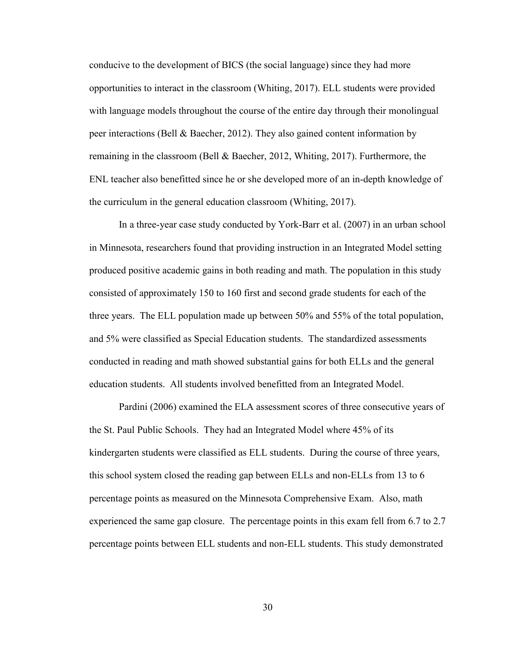conducive to the development of BICS (the social language) since they had more opportunities to interact in the classroom (Whiting, 2017). ELL students were provided with language models throughout the course of the entire day through their monolingual peer interactions (Bell & Baecher, 2012). They also gained content information by remaining in the classroom (Bell & Baecher, 2012, Whiting, 2017). Furthermore, the ENL teacher also benefitted since he or she developed more of an in-depth knowledge of the curriculum in the general education classroom (Whiting, 2017).

In a three-year case study conducted by York-Barr et al. (2007) in an urban school in Minnesota, researchers found that providing instruction in an Integrated Model setting produced positive academic gains in both reading and math. The population in this study consisted of approximately 150 to 160 first and second grade students for each of the three years. The ELL population made up between 50% and 55% of the total population, and 5% were classified as Special Education students. The standardized assessments conducted in reading and math showed substantial gains for both ELLs and the general education students. All students involved benefitted from an Integrated Model.

Pardini (2006) examined the ELA assessment scores of three consecutive years of the St. Paul Public Schools. They had an Integrated Model where 45% of its kindergarten students were classified as ELL students. During the course of three years, this school system closed the reading gap between ELLs and non-ELLs from 13 to 6 percentage points as measured on the Minnesota Comprehensive Exam. Also, math experienced the same gap closure. The percentage points in this exam fell from 6.7 to 2.7 percentage points between ELL students and non-ELL students. This study demonstrated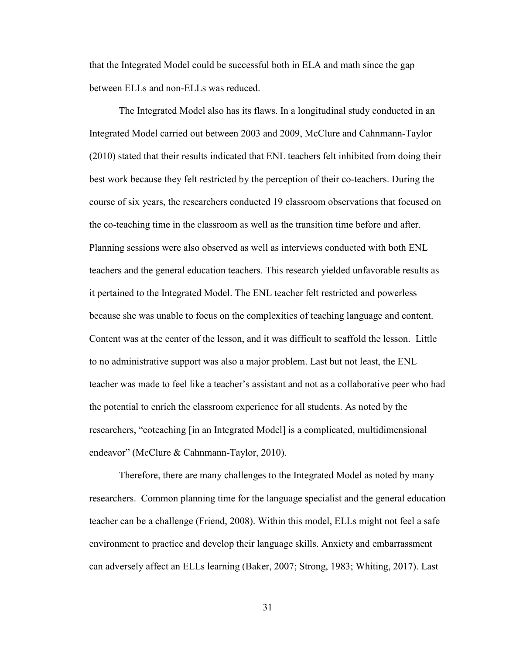that the Integrated Model could be successful both in ELA and math since the gap between ELLs and non-ELLs was reduced.

The Integrated Model also has its flaws. In a longitudinal study conducted in an Integrated Model carried out between 2003 and 2009, McClure and Cahnmann-Taylor (2010) stated that their results indicated that ENL teachers felt inhibited from doing their best work because they felt restricted by the perception of their co-teachers. During the course of six years, the researchers conducted 19 classroom observations that focused on the co-teaching time in the classroom as well as the transition time before and after. Planning sessions were also observed as well as interviews conducted with both ENL teachers and the general education teachers. This research yielded unfavorable results as it pertained to the Integrated Model. The ENL teacher felt restricted and powerless because she was unable to focus on the complexities of teaching language and content. Content was at the center of the lesson, and it was difficult to scaffold the lesson. Little to no administrative support was also a major problem. Last but not least, the ENL teacher was made to feel like a teacher's assistant and not as a collaborative peer who had the potential to enrich the classroom experience for all students. As noted by the researchers, "coteaching [in an Integrated Model] is a complicated, multidimensional endeavor" (McClure & Cahnmann-Taylor, 2010).

Therefore, there are many challenges to the Integrated Model as noted by many researchers. Common planning time for the language specialist and the general education teacher can be a challenge (Friend, 2008). Within this model, ELLs might not feel a safe environment to practice and develop their language skills. Anxiety and embarrassment can adversely affect an ELLs learning (Baker, 2007; Strong, 1983; Whiting, 2017). Last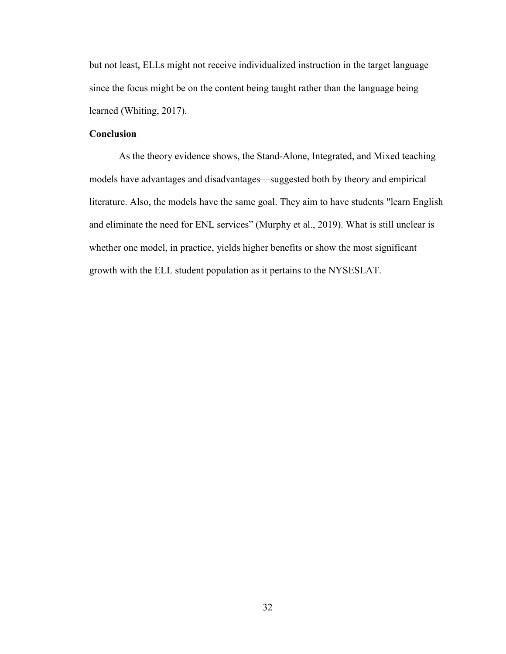but not least, ELLs might not receive individualized instruction in the target language since the focus might be on the content being taught rather than the language being learned (Whiting, 2017).

## **Conclusion**

As the theory evidence shows, the Stand-Alone, Integrated, and Mixed teaching models have advantages and disadvantages—suggested both by theory and empirical literature. Also, the models have the same goal. They aim to have students "learn English and eliminate the need for ENL services" (Murphy et al., 2019). What is still unclear is whether one model, in practice, yields higher benefits or show the most significant growth with the ELL student population as it pertains to the NYSESLAT.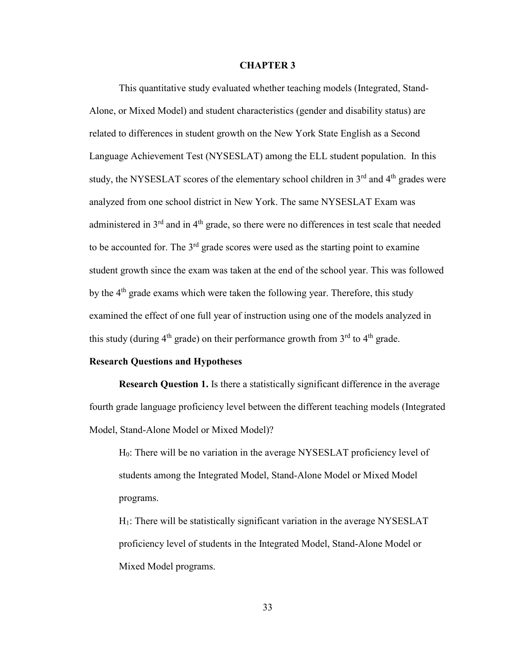#### **CHAPTER 3**

This quantitative study evaluated whether teaching models (Integrated, Stand-Alone, or Mixed Model) and student characteristics (gender and disability status) are related to differences in student growth on the New York State English as a Second Language Achievement Test (NYSESLAT) among the ELL student population. In this study, the NYSESLAT scores of the elementary school children in  $3<sup>rd</sup>$  and  $4<sup>th</sup>$  grades were analyzed from one school district in New York. The same NYSESLAT Exam was administered in 3<sup>rd</sup> and in 4<sup>th</sup> grade, so there were no differences in test scale that needed to be accounted for. The  $3<sup>rd</sup>$  grade scores were used as the starting point to examine student growth since the exam was taken at the end of the school year. This was followed by the 4<sup>th</sup> grade exams which were taken the following year. Therefore, this study examined the effect of one full year of instruction using one of the models analyzed in this study (during  $4<sup>th</sup>$  grade) on their performance growth from  $3<sup>rd</sup>$  to  $4<sup>th</sup>$  grade.

## **Research Questions and Hypotheses**

**Research Question 1.** Is there a statistically significant difference in the average fourth grade language proficiency level between the different teaching models (Integrated Model, Stand-Alone Model or Mixed Model)?

H0: There will be no variation in the average NYSESLAT proficiency level of students among the Integrated Model, Stand-Alone Model or Mixed Model programs.

H1: There will be statistically significant variation in the average NYSESLAT proficiency level of students in the Integrated Model, Stand-Alone Model or Mixed Model programs.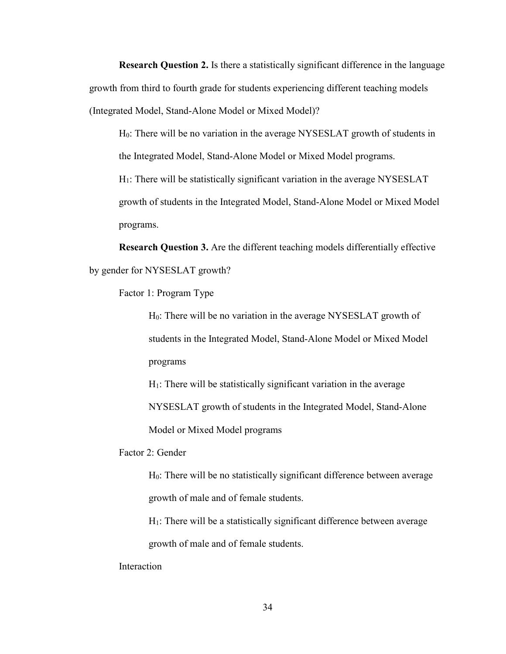**Research Question 2.** Is there a statistically significant difference in the language growth from third to fourth grade for students experiencing different teaching models (Integrated Model, Stand-Alone Model or Mixed Model)?

H0: There will be no variation in the average NYSESLAT growth of students in the Integrated Model, Stand-Alone Model or Mixed Model programs.

H1: There will be statistically significant variation in the average NYSESLAT growth of students in the Integrated Model, Stand-Alone Model or Mixed Model programs.

**Research Question 3.** Are the different teaching models differentially effective by gender for NYSESLAT growth?

Factor 1: Program Type

H0: There will be no variation in the average NYSESLAT growth of students in the Integrated Model, Stand-Alone Model or Mixed Model programs

 $H<sub>1</sub>$ : There will be statistically significant variation in the average NYSESLAT growth of students in the Integrated Model, Stand-Alone Model or Mixed Model programs

Factor 2: Gender

H0: There will be no statistically significant difference between average growth of male and of female students.

H1: There will be a statistically significant difference between average growth of male and of female students.

Interaction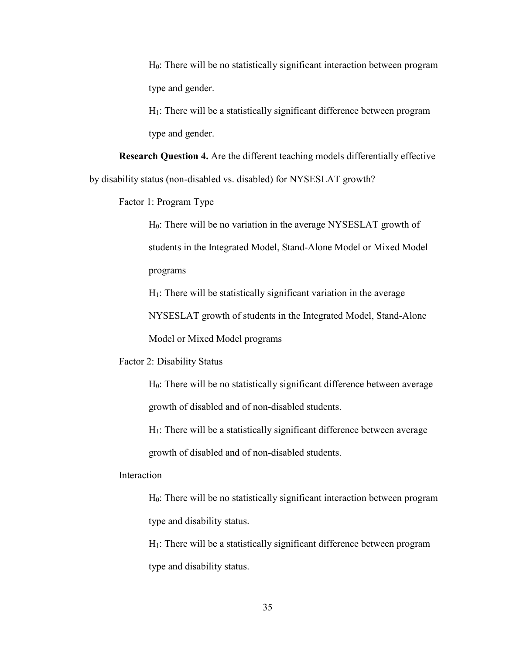H0: There will be no statistically significant interaction between program type and gender.

 $H<sub>1</sub>$ : There will be a statistically significant difference between program type and gender.

**Research Question 4.** Are the different teaching models differentially effective by disability status (non-disabled vs. disabled) for NYSESLAT growth?

Factor 1: Program Type

H0: There will be no variation in the average NYSESLAT growth of students in the Integrated Model, Stand-Alone Model or Mixed Model programs

 $H<sub>1</sub>$ : There will be statistically significant variation in the average

NYSESLAT growth of students in the Integrated Model, Stand-Alone

Model or Mixed Model programs

Factor 2: Disability Status

H0: There will be no statistically significant difference between average growth of disabled and of non-disabled students.

 $H<sub>1</sub>$ : There will be a statistically significant difference between average growth of disabled and of non-disabled students.

Interaction

H0: There will be no statistically significant interaction between program type and disability status.

 $H<sub>1</sub>$ : There will be a statistically significant difference between program type and disability status.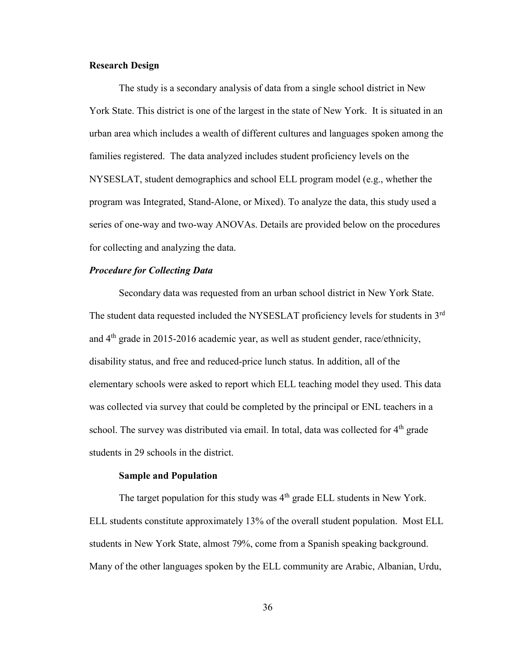## **Research Design**

 The study is a secondary analysis of data from a single school district in New York State. This district is one of the largest in the state of New York. It is situated in an urban area which includes a wealth of different cultures and languages spoken among the families registered. The data analyzed includes student proficiency levels on the NYSESLAT, student demographics and school ELL program model (e.g., whether the program was Integrated, Stand-Alone, or Mixed). To analyze the data, this study used a series of one-way and two-way ANOVAs. Details are provided below on the procedures for collecting and analyzing the data.

## *Procedure for Collecting Data*

Secondary data was requested from an urban school district in New York State. The student data requested included the NYSESLAT proficiency levels for students in 3<sup>rd</sup> and 4th grade in 2015-2016 academic year, as well as student gender, race/ethnicity, disability status, and free and reduced-price lunch status. In addition, all of the elementary schools were asked to report which ELL teaching model they used. This data was collected via survey that could be completed by the principal or ENL teachers in a school. The survey was distributed via email. In total, data was collected for 4<sup>th</sup> grade students in 29 schools in the district.

#### **Sample and Population**

The target population for this study was  $4<sup>th</sup>$  grade ELL students in New York. ELL students constitute approximately 13% of the overall student population. Most ELL students in New York State, almost 79%, come from a Spanish speaking background. Many of the other languages spoken by the ELL community are Arabic, Albanian, Urdu,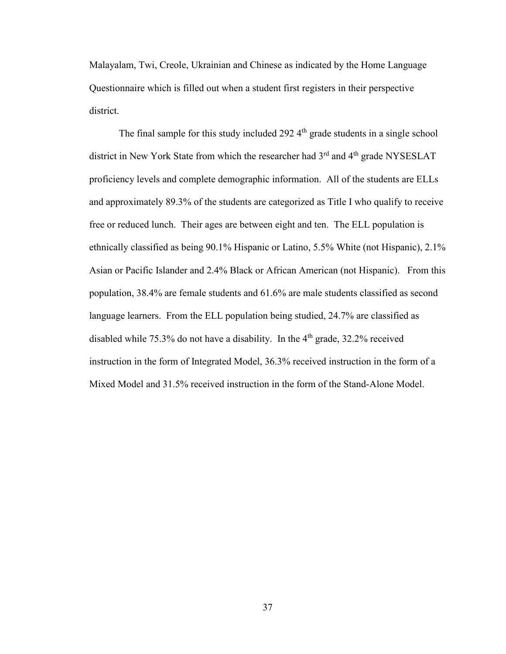Malayalam, Twi, Creole, Ukrainian and Chinese as indicated by the Home Language Questionnaire which is filled out when a student first registers in their perspective district.

The final sample for this study included  $292.4<sup>th</sup>$  grade students in a single school district in New York State from which the researcher had 3<sup>rd</sup> and 4<sup>th</sup> grade NYSESLAT proficiency levels and complete demographic information. All of the students are ELLs and approximately 89.3% of the students are categorized as Title I who qualify to receive free or reduced lunch. Their ages are between eight and ten. The ELL population is ethnically classified as being 90.1% Hispanic or Latino, 5.5% White (not Hispanic), 2.1% Asian or Pacific Islander and 2.4% Black or African American (not Hispanic). From this population, 38.4% are female students and 61.6% are male students classified as second language learners. From the ELL population being studied, 24.7% are classified as disabled while 75.3% do not have a disability. In the  $4<sup>th</sup>$  grade, 32.2% received instruction in the form of Integrated Model, 36.3% received instruction in the form of a Mixed Model and 31.5% received instruction in the form of the Stand-Alone Model.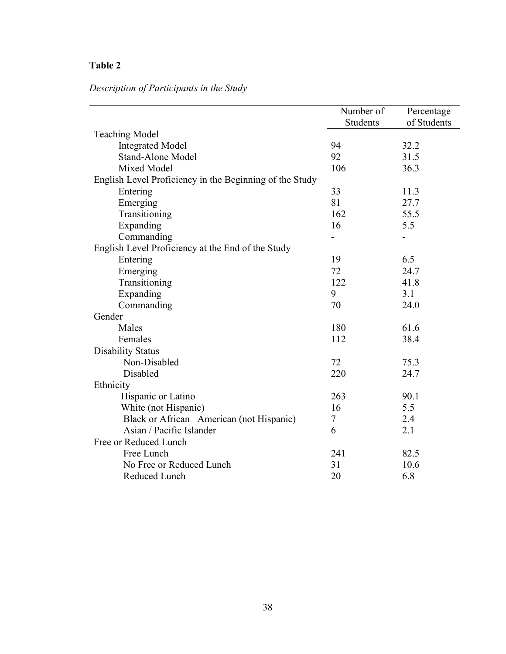# **Table 2**

# *Description of Participants in the Study*

|                                                         | Number of | Percentage  |
|---------------------------------------------------------|-----------|-------------|
|                                                         | Students  | of Students |
| <b>Teaching Model</b>                                   |           |             |
| <b>Integrated Model</b>                                 | 94        | 32.2        |
| <b>Stand-Alone Model</b>                                | 92        | 31.5        |
| Mixed Model                                             | 106       | 36.3        |
| English Level Proficiency in the Beginning of the Study |           |             |
| Entering                                                | 33        | 11.3        |
| Emerging                                                | 81        | 27.7        |
| Transitioning                                           | 162       | 55.5        |
| Expanding                                               | 16        | 5.5         |
| Commanding                                              |           |             |
| English Level Proficiency at the End of the Study       |           |             |
| Entering                                                | 19        | 6.5         |
| Emerging                                                | 72        | 24.7        |
| Transitioning                                           | 122       | 41.8        |
| Expanding                                               | 9         | 3.1         |
| Commanding                                              | 70        | 24.0        |
| Gender                                                  |           |             |
| Males                                                   | 180       | 61.6        |
| Females                                                 | 112       | 38.4        |
| <b>Disability Status</b>                                |           |             |
| Non-Disabled                                            | 72        | 75.3        |
| Disabled                                                | 220       | 24.7        |
| Ethnicity                                               |           |             |
| Hispanic or Latino                                      | 263       | 90.1        |
| White (not Hispanic)                                    | 16        | 5.5         |
| Black or African American (not Hispanic)                | 7         | 2.4         |
| Asian / Pacific Islander                                | 6         | 2.1         |
| Free or Reduced Lunch                                   |           |             |
| Free Lunch                                              | 241       | 82.5        |
| No Free or Reduced Lunch                                | 31        | 10.6        |
| Reduced Lunch                                           | 20        | 6.8         |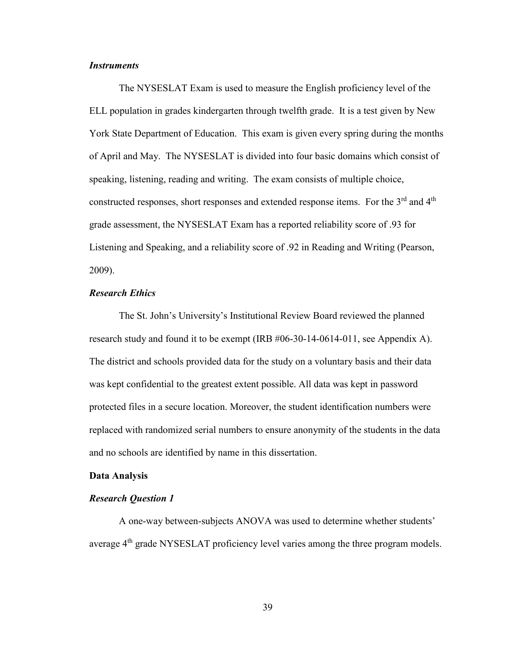## *Instruments*

The NYSESLAT Exam is used to measure the English proficiency level of the ELL population in grades kindergarten through twelfth grade. It is a test given by New York State Department of Education. This exam is given every spring during the months of April and May. The NYSESLAT is divided into four basic domains which consist of speaking, listening, reading and writing. The exam consists of multiple choice, constructed responses, short responses and extended response items. For the  $3<sup>rd</sup>$  and  $4<sup>th</sup>$ grade assessment, the NYSESLAT Exam has a reported reliability score of .93 for Listening and Speaking, and a reliability score of .92 in Reading and Writing (Pearson, 2009).

## *Research Ethics*

The St. John's University's Institutional Review Board reviewed the planned research study and found it to be exempt (IRB #06-30-14-0614-011, see Appendix A). The district and schools provided data for the study on a voluntary basis and their data was kept confidential to the greatest extent possible. All data was kept in password protected files in a secure location. Moreover, the student identification numbers were replaced with randomized serial numbers to ensure anonymity of the students in the data and no schools are identified by name in this dissertation.

#### **Data Analysis**

## *Research Question 1*

 A one-way between-subjects ANOVA was used to determine whether students' average 4th grade NYSESLAT proficiency level varies among the three program models.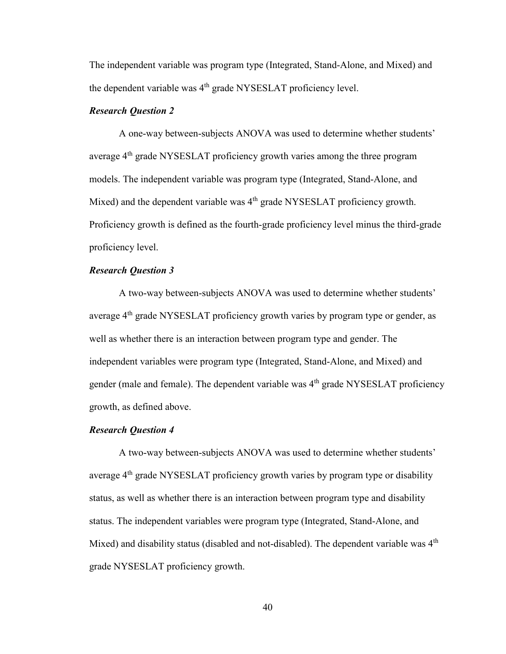The independent variable was program type (Integrated, Stand-Alone, and Mixed) and the dependent variable was  $4<sup>th</sup>$  grade NYSESLAT proficiency level.

## *Research Question 2*

A one-way between-subjects ANOVA was used to determine whether students' average 4<sup>th</sup> grade NYSESLAT proficiency growth varies among the three program models. The independent variable was program type (Integrated, Stand-Alone, and Mixed) and the dependent variable was  $4<sup>th</sup>$  grade NYSESLAT proficiency growth. Proficiency growth is defined as the fourth-grade proficiency level minus the third-grade proficiency level.

## *Research Question 3*

A two-way between-subjects ANOVA was used to determine whether students' average 4th grade NYSESLAT proficiency growth varies by program type or gender, as well as whether there is an interaction between program type and gender. The independent variables were program type (Integrated, Stand-Alone, and Mixed) and gender (male and female). The dependent variable was  $4<sup>th</sup>$  grade NYSESLAT proficiency growth, as defined above.

## *Research Question 4*

A two-way between-subjects ANOVA was used to determine whether students' average  $4<sup>th</sup>$  grade NYSESLAT proficiency growth varies by program type or disability status, as well as whether there is an interaction between program type and disability status. The independent variables were program type (Integrated, Stand-Alone, and Mixed) and disability status (disabled and not-disabled). The dependent variable was  $4<sup>th</sup>$ grade NYSESLAT proficiency growth.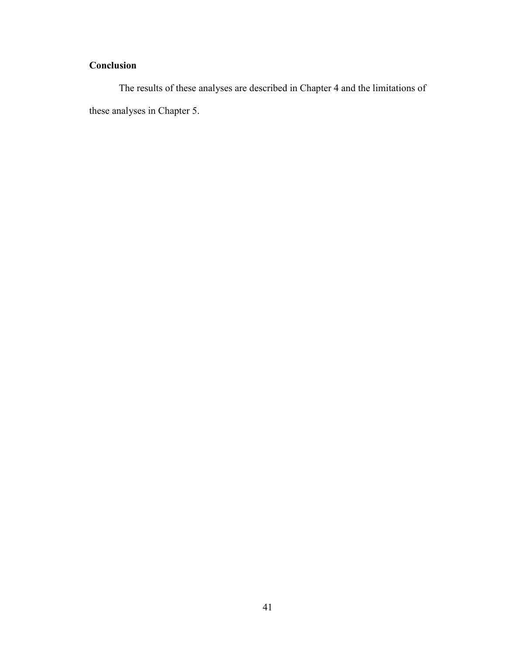# **Conclusion**

 The results of these analyses are described in Chapter 4 and the limitations of these analyses in Chapter 5.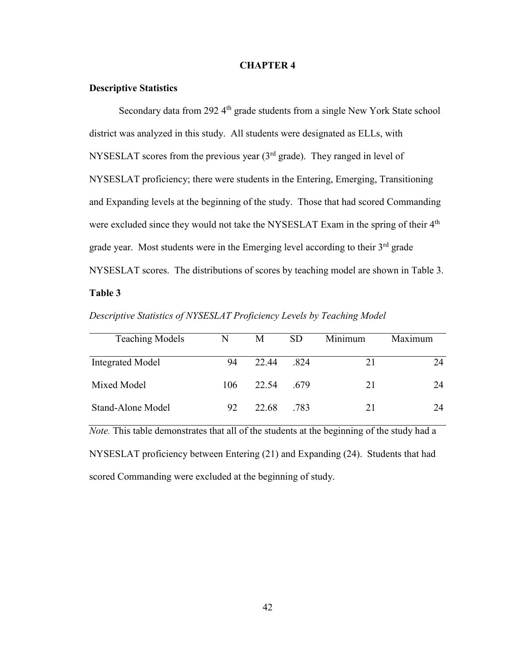#### **CHAPTER 4**

## **Descriptive Statistics**

Secondary data from 292 4<sup>th</sup> grade students from a single New York State school district was analyzed in this study. All students were designated as ELLs, with NYSESLAT scores from the previous year  $(3<sup>rd</sup>$  grade). They ranged in level of NYSESLAT proficiency; there were students in the Entering, Emerging, Transitioning and Expanding levels at the beginning of the study. Those that had scored Commanding were excluded since they would not take the NYSESLAT Exam in the spring of their 4<sup>th</sup> grade year. Most students were in the Emerging level according to their  $3<sup>rd</sup>$  grade NYSESLAT scores. The distributions of scores by teaching model are shown in Table 3.

## **Table 3**

| Descriptive Statistics of NYSESLAT Proficiency Levels by Teaching Model |
|-------------------------------------------------------------------------|
|-------------------------------------------------------------------------|

| <b>Teaching Models</b>  | N   | M     | <b>SD</b> | Minimum | Maximum |
|-------------------------|-----|-------|-----------|---------|---------|
| <b>Integrated Model</b> | 94  | 22.44 | .824      | 21      | 24      |
| Mixed Model             | 106 | 22.54 | .679      | 21      | 24      |
| Stand-Alone Model       | 92  | 22.68 | .783      | 21      | 24      |

*Note.* This table demonstrates that all of the students at the beginning of the study had a NYSESLAT proficiency between Entering (21) and Expanding (24). Students that had scored Commanding were excluded at the beginning of study.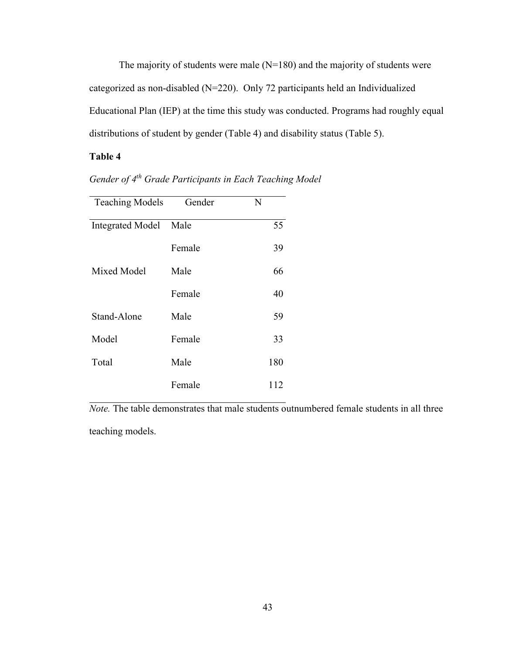The majority of students were male  $(N=180)$  and the majority of students were categorized as non-disabled (N=220). Only 72 participants held an Individualized Educational Plan (IEP) at the time this study was conducted. Programs had roughly equal distributions of student by gender (Table 4) and disability status (Table 5).

## **Table 4**

| <b>Teaching Models</b>  | Gender | N   |
|-------------------------|--------|-----|
| <b>Integrated Model</b> | Male   | 55  |
|                         | Female | 39  |
| Mixed Model             | Male   | 66  |
|                         | Female | 40  |
| Stand-Alone             | Male   | 59  |
| Model                   | Female | 33  |
| Total                   | Male   | 180 |
|                         | Female | 112 |

*Gender of 4th Grade Participants in Each Teaching Model* 

*Note.* The table demonstrates that male students outnumbered female students in all three teaching models.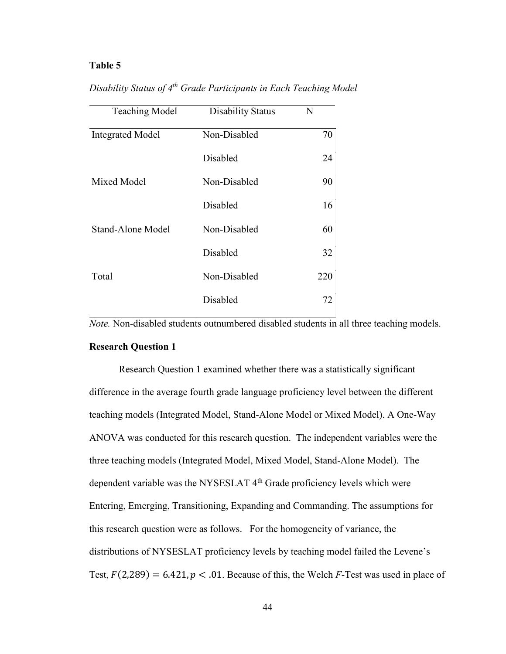## **Table 5**

| Disability Status of 4 <sup>th</sup> Grade Participants in Each Teaching Model |  |  |  |  |
|--------------------------------------------------------------------------------|--|--|--|--|
|                                                                                |  |  |  |  |

| <b>Teaching Model</b>   | <b>Disability Status</b> | N   |
|-------------------------|--------------------------|-----|
| <b>Integrated Model</b> | Non-Disabled             | 70  |
|                         | Disabled                 | 24  |
| Mixed Model             | Non-Disabled             | 90  |
|                         | Disabled                 | 16  |
| Stand-Alone Model       | Non-Disabled             | 60  |
|                         | Disabled                 | 32  |
| Total                   | Non-Disabled             | 220 |
|                         | Disabled                 | 72  |

*Note.* Non-disabled students outnumbered disabled students in all three teaching models.

#### **Research Question 1**

Research Question 1 examined whether there was a statistically significant difference in the average fourth grade language proficiency level between the different teaching models (Integrated Model, Stand-Alone Model or Mixed Model). A One-Way ANOVA was conducted for this research question. The independent variables were the three teaching models (Integrated Model, Mixed Model, Stand-Alone Model). The dependent variable was the NYSESLAT 4<sup>th</sup> Grade proficiency levels which were Entering, Emerging, Transitioning, Expanding and Commanding. The assumptions for this research question were as follows. For the homogeneity of variance, the distributions of NYSESLAT proficiency levels by teaching model failed the Levene's Test,  $F(2,289) = 6.421$ ,  $p < .01$ . Because of this, the Welch *F*-Test was used in place of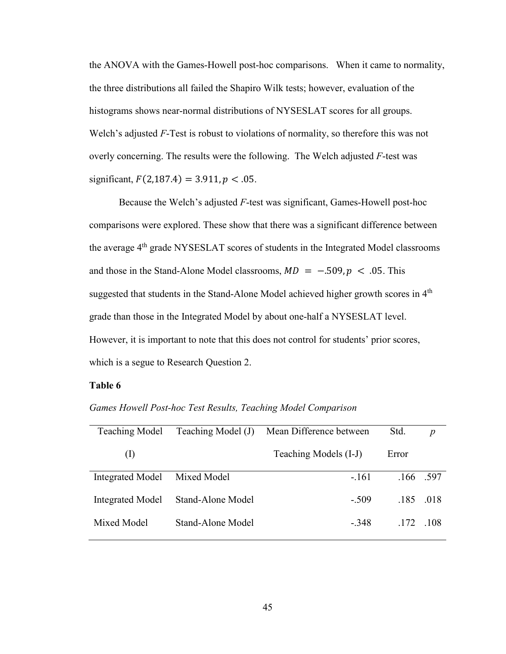the ANOVA with the Games-Howell post-hoc comparisons. When it came to normality, the three distributions all failed the Shapiro Wilk tests; however, evaluation of the histograms shows near-normal distributions of NYSESLAT scores for all groups. Welch's adjusted *F*-Test is robust to violations of normality, so therefore this was not overly concerning. The results were the following. The Welch adjusted *F*-test was significant,  $F(2,187.4) = 3.911, p < .05$ .

Because the Welch's adjusted *F*-test was significant, Games-Howell post-hoc comparisons were explored. These show that there was a significant difference between the average 4<sup>th</sup> grade NYSESLAT scores of students in the Integrated Model classrooms and those in the Stand-Alone Model classrooms,  $MD = -.509, p < .05$ . This suggested that students in the Stand-Alone Model achieved higher growth scores in 4<sup>th</sup> grade than those in the Integrated Model by about one-half a NYSESLAT level. However, it is important to note that this does not control for students' prior scores, which is a segue to Research Question 2.

#### **Table 6**

| <b>Teaching Model</b>   | Teaching Model (J) | Mean Difference between | Std.  | $\boldsymbol{p}$ |
|-------------------------|--------------------|-------------------------|-------|------------------|
| (1)                     |                    | Teaching Models (I-J)   | Error |                  |
| Integrated Model        | Mixed Model        | $-.161$                 |       | .166.597         |
| <b>Integrated Model</b> | Stand-Alone Model  | $-509$                  |       | .185 .018        |
| Mixed Model             | Stand-Alone Model  | $-348$                  | .172  | $-108$           |

*Games Howell Post-hoc Test Results, Teaching Model Comparison*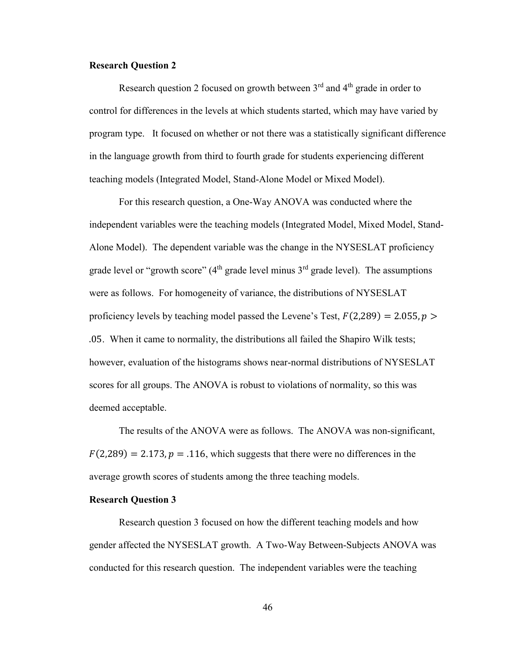## **Research Question 2**

Research question 2 focused on growth between  $3<sup>rd</sup>$  and  $4<sup>th</sup>$  grade in order to control for differences in the levels at which students started, which may have varied by program type. It focused on whether or not there was a statistically significant difference in the language growth from third to fourth grade for students experiencing different teaching models (Integrated Model, Stand-Alone Model or Mixed Model).

For this research question, a One-Way ANOVA was conducted where the independent variables were the teaching models (Integrated Model, Mixed Model, Stand-Alone Model). The dependent variable was the change in the NYSESLAT proficiency grade level or "growth score" ( $4<sup>th</sup>$  grade level minus  $3<sup>rd</sup>$  grade level). The assumptions were as follows. For homogeneity of variance, the distributions of NYSESLAT proficiency levels by teaching model passed the Levene's Test,  $F(2,289) = 2.055$ ,  $p >$ .05. When it came to normality, the distributions all failed the Shapiro Wilk tests; however, evaluation of the histograms shows near-normal distributions of NYSESLAT scores for all groups. The ANOVA is robust to violations of normality, so this was deemed acceptable.

 The results of the ANOVA were as follows. The ANOVA was non-significant,  $F(2,289) = 2.173$ ,  $p = .116$ , which suggests that there were no differences in the average growth scores of students among the three teaching models.

### **Research Question 3**

Research question 3 focused on how the different teaching models and how gender affected the NYSESLAT growth. A Two-Way Between-Subjects ANOVA was conducted for this research question. The independent variables were the teaching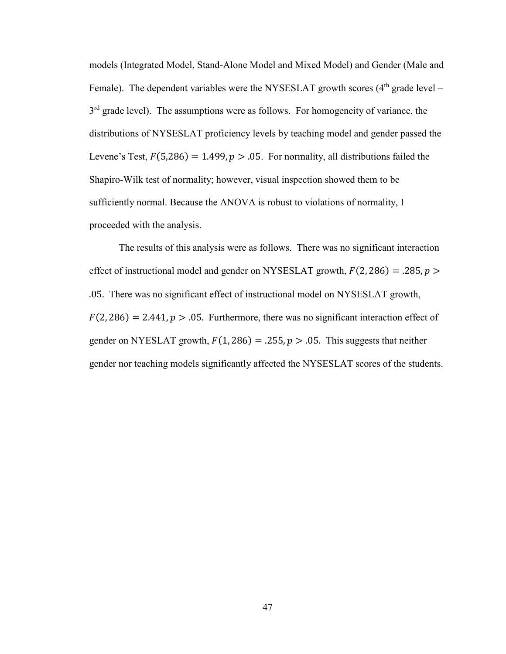models (Integrated Model, Stand-Alone Model and Mixed Model) and Gender (Male and Female). The dependent variables were the NYSESLAT growth scores  $(4<sup>th</sup>$  grade level – 3<sup>rd</sup> grade level). The assumptions were as follows. For homogeneity of variance, the distributions of NYSESLAT proficiency levels by teaching model and gender passed the Levene's Test,  $F(5,286) = 1.499$ ,  $p > 0.05$ . For normality, all distributions failed the Shapiro-Wilk test of normality; however, visual inspection showed them to be sufficiently normal. Because the ANOVA is robust to violations of normality, I proceeded with the analysis.

The results of this analysis were as follows. There was no significant interaction effect of instructional model and gender on NYSESLAT growth,  $F(2, 286) = .285$ ,  $p >$ .05. There was no significant effect of instructional model on NYSESLAT growth,  $F(2, 286) = 2.441$ ,  $p > .05$ . Furthermore, there was no significant interaction effect of gender on NYESLAT growth,  $F(1, 286) = .255$ ,  $p > .05$ . This suggests that neither gender nor teaching models significantly affected the NYSESLAT scores of the students.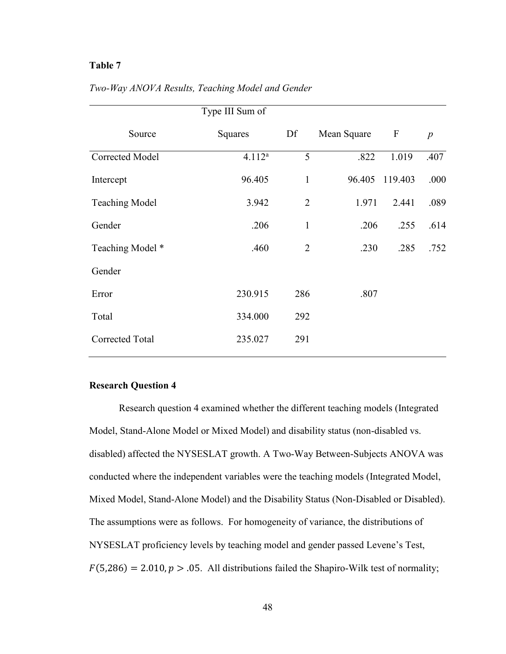## **Table 7**

|                        | Type III Sum of |                |             |                  |                  |
|------------------------|-----------------|----------------|-------------|------------------|------------------|
| Source                 | Squares         | Df             | Mean Square | $\boldsymbol{F}$ | $\boldsymbol{p}$ |
| Corrected Model        | $4.112^{a}$     | 5              | .822        | 1.019            | .407             |
| Intercept              | 96.405          | $\mathbf{1}$   | 96.405      | 119.403          | .000             |
| <b>Teaching Model</b>  | 3.942           | $\overline{2}$ | 1.971       | 2.441            | .089             |
| Gender                 | .206            | $\mathbf{1}$   | .206        | .255             | .614             |
| Teaching Model *       | .460            | $\overline{2}$ | .230        | .285             | .752             |
| Gender                 |                 |                |             |                  |                  |
| Error                  | 230.915         | 286            | .807        |                  |                  |
| Total                  | 334.000         | 292            |             |                  |                  |
| <b>Corrected Total</b> | 235.027         | 291            |             |                  |                  |

*Two-Way ANOVA Results, Teaching Model and Gender* 

#### **Research Question 4**

Research question 4 examined whether the different teaching models (Integrated Model, Stand-Alone Model or Mixed Model) and disability status (non-disabled vs. disabled) affected the NYSESLAT growth. A Two-Way Between-Subjects ANOVA was conducted where the independent variables were the teaching models (Integrated Model, Mixed Model, Stand-Alone Model) and the Disability Status (Non-Disabled or Disabled). The assumptions were as follows. For homogeneity of variance, the distributions of NYSESLAT proficiency levels by teaching model and gender passed Levene's Test,  $F(5,286) = 2.010, p > .05$ . All distributions failed the Shapiro-Wilk test of normality;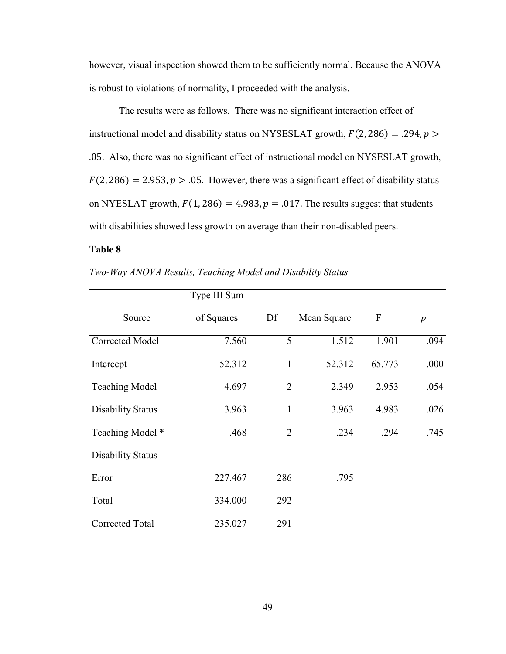however, visual inspection showed them to be sufficiently normal. Because the ANOVA is robust to violations of normality, I proceeded with the analysis.

The results were as follows. There was no significant interaction effect of instructional model and disability status on NYSESLAT growth,  $F(2, 286) = .294$ ,  $p >$ .05. Also, there was no significant effect of instructional model on NYSESLAT growth,  $F(2, 286) = 2.953, p > .05$ . However, there was a significant effect of disability status on NYESLAT growth,  $F(1, 286) = 4.983$ ,  $p = .017$ . The results suggest that students with disabilities showed less growth on average than their non-disabled peers.

## **Table 8**

|                          | Type III Sum |                |             |                  |                  |
|--------------------------|--------------|----------------|-------------|------------------|------------------|
| Source                   | of Squares   | Df             | Mean Square | $\boldsymbol{F}$ | $\boldsymbol{p}$ |
| Corrected Model          | 7.560        | 5              | 1.512       | 1.901            | .094             |
| Intercept                | 52.312       | $\mathbf{1}$   | 52.312      | 65.773           | .000             |
| <b>Teaching Model</b>    | 4.697        | $\overline{2}$ | 2.349       | 2.953            | .054             |
| <b>Disability Status</b> | 3.963        | $\mathbf{1}$   | 3.963       | 4.983            | .026             |
| Teaching Model *         | .468         | $\overline{2}$ | .234        | .294             | .745             |
| <b>Disability Status</b> |              |                |             |                  |                  |
| Error                    | 227.467      | 286            | .795        |                  |                  |
| Total                    | 334.000      | 292            |             |                  |                  |
| <b>Corrected Total</b>   | 235.027      | 291            |             |                  |                  |

*Two-Way ANOVA Results, Teaching Model and Disability Status*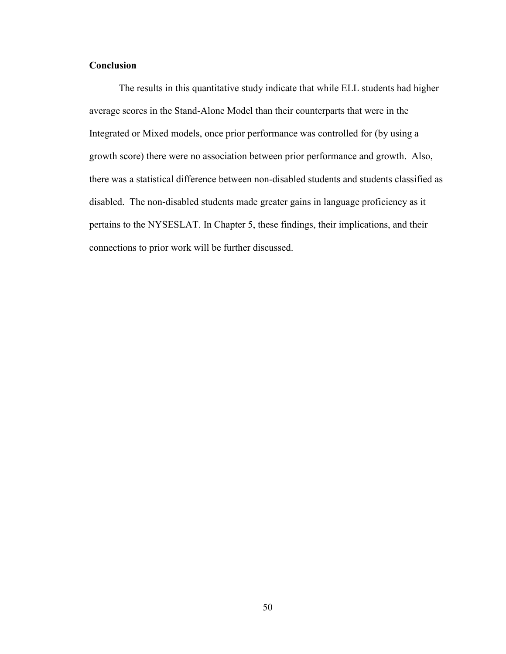## **Conclusion**

The results in this quantitative study indicate that while ELL students had higher average scores in the Stand-Alone Model than their counterparts that were in the Integrated or Mixed models, once prior performance was controlled for (by using a growth score) there were no association between prior performance and growth. Also, there was a statistical difference between non-disabled students and students classified as disabled. The non-disabled students made greater gains in language proficiency as it pertains to the NYSESLAT. In Chapter 5, these findings, their implications, and their connections to prior work will be further discussed.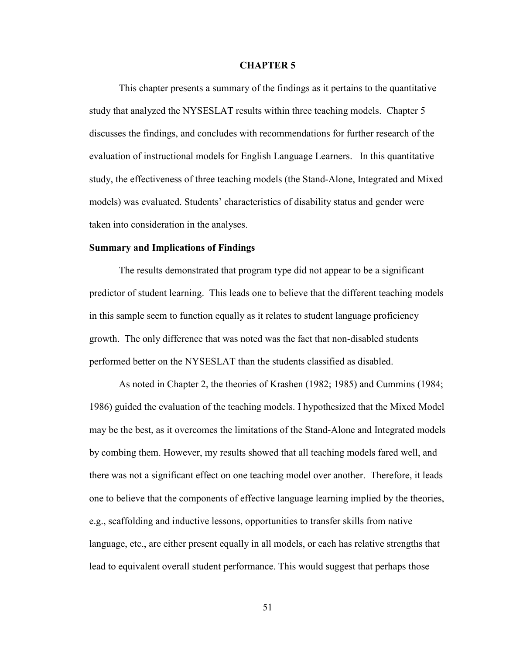#### **CHAPTER 5**

This chapter presents a summary of the findings as it pertains to the quantitative study that analyzed the NYSESLAT results within three teaching models. Chapter 5 discusses the findings, and concludes with recommendations for further research of the evaluation of instructional models for English Language Learners. In this quantitative study, the effectiveness of three teaching models (the Stand-Alone, Integrated and Mixed models) was evaluated. Students' characteristics of disability status and gender were taken into consideration in the analyses.

## **Summary and Implications of Findings**

The results demonstrated that program type did not appear to be a significant predictor of student learning. This leads one to believe that the different teaching models in this sample seem to function equally as it relates to student language proficiency growth. The only difference that was noted was the fact that non-disabled students performed better on the NYSESLAT than the students classified as disabled.

As noted in Chapter 2, the theories of Krashen (1982; 1985) and Cummins (1984; 1986) guided the evaluation of the teaching models. I hypothesized that the Mixed Model may be the best, as it overcomes the limitations of the Stand-Alone and Integrated models by combing them. However, my results showed that all teaching models fared well, and there was not a significant effect on one teaching model over another. Therefore, it leads one to believe that the components of effective language learning implied by the theories, e.g., scaffolding and inductive lessons, opportunities to transfer skills from native language, etc., are either present equally in all models, or each has relative strengths that lead to equivalent overall student performance. This would suggest that perhaps those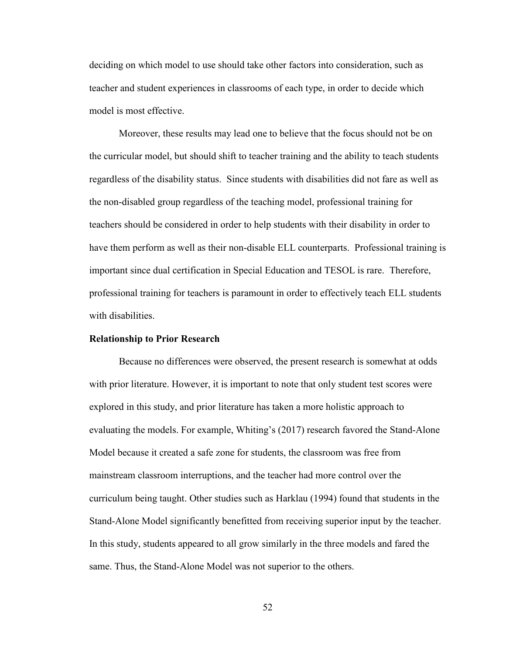deciding on which model to use should take other factors into consideration, such as teacher and student experiences in classrooms of each type, in order to decide which model is most effective.

Moreover, these results may lead one to believe that the focus should not be on the curricular model, but should shift to teacher training and the ability to teach students regardless of the disability status. Since students with disabilities did not fare as well as the non-disabled group regardless of the teaching model, professional training for teachers should be considered in order to help students with their disability in order to have them perform as well as their non-disable ELL counterparts. Professional training is important since dual certification in Special Education and TESOL is rare. Therefore, professional training for teachers is paramount in order to effectively teach ELL students with disabilities.

#### **Relationship to Prior Research**

 Because no differences were observed, the present research is somewhat at odds with prior literature. However, it is important to note that only student test scores were explored in this study, and prior literature has taken a more holistic approach to evaluating the models. For example, Whiting's (2017) research favored the Stand-Alone Model because it created a safe zone for students, the classroom was free from mainstream classroom interruptions, and the teacher had more control over the curriculum being taught. Other studies such as Harklau (1994) found that students in the Stand-Alone Model significantly benefitted from receiving superior input by the teacher. In this study, students appeared to all grow similarly in the three models and fared the same. Thus, the Stand-Alone Model was not superior to the others.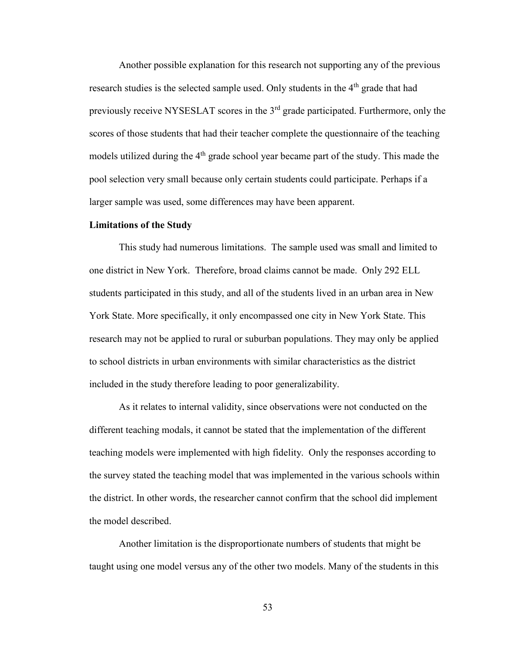Another possible explanation for this research not supporting any of the previous research studies is the selected sample used. Only students in the 4<sup>th</sup> grade that had previously receive NYSESLAT scores in the 3rd grade participated. Furthermore, only the scores of those students that had their teacher complete the questionnaire of the teaching models utilized during the 4<sup>th</sup> grade school year became part of the study. This made the pool selection very small because only certain students could participate. Perhaps if a larger sample was used, some differences may have been apparent.

#### **Limitations of the Study**

This study had numerous limitations. The sample used was small and limited to one district in New York. Therefore, broad claims cannot be made. Only 292 ELL students participated in this study, and all of the students lived in an urban area in New York State. More specifically, it only encompassed one city in New York State. This research may not be applied to rural or suburban populations. They may only be applied to school districts in urban environments with similar characteristics as the district included in the study therefore leading to poor generalizability.

As it relates to internal validity, since observations were not conducted on the different teaching modals, it cannot be stated that the implementation of the different teaching models were implemented with high fidelity. Only the responses according to the survey stated the teaching model that was implemented in the various schools within the district. In other words, the researcher cannot confirm that the school did implement the model described.

Another limitation is the disproportionate numbers of students that might be taught using one model versus any of the other two models. Many of the students in this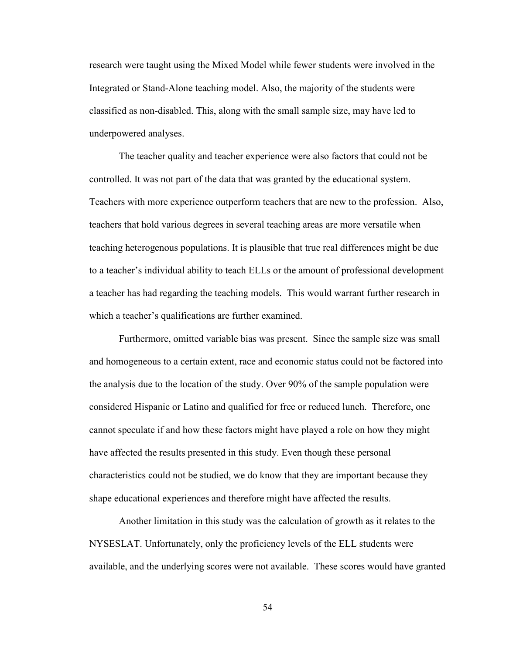research were taught using the Mixed Model while fewer students were involved in the Integrated or Stand-Alone teaching model. Also, the majority of the students were classified as non-disabled. This, along with the small sample size, may have led to underpowered analyses.

The teacher quality and teacher experience were also factors that could not be controlled. It was not part of the data that was granted by the educational system. Teachers with more experience outperform teachers that are new to the profession. Also, teachers that hold various degrees in several teaching areas are more versatile when teaching heterogenous populations. It is plausible that true real differences might be due to a teacher's individual ability to teach ELLs or the amount of professional development a teacher has had regarding the teaching models. This would warrant further research in which a teacher's qualifications are further examined.

Furthermore, omitted variable bias was present. Since the sample size was small and homogeneous to a certain extent, race and economic status could not be factored into the analysis due to the location of the study. Over 90% of the sample population were considered Hispanic or Latino and qualified for free or reduced lunch. Therefore, one cannot speculate if and how these factors might have played a role on how they might have affected the results presented in this study. Even though these personal characteristics could not be studied, we do know that they are important because they shape educational experiences and therefore might have affected the results.

Another limitation in this study was the calculation of growth as it relates to the NYSESLAT. Unfortunately, only the proficiency levels of the ELL students were available, and the underlying scores were not available. These scores would have granted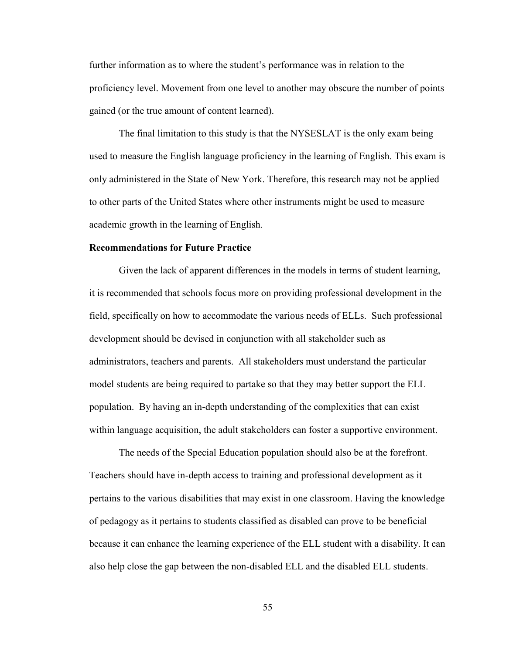further information as to where the student's performance was in relation to the proficiency level. Movement from one level to another may obscure the number of points gained (or the true amount of content learned).

The final limitation to this study is that the NYSESLAT is the only exam being used to measure the English language proficiency in the learning of English. This exam is only administered in the State of New York. Therefore, this research may not be applied to other parts of the United States where other instruments might be used to measure academic growth in the learning of English.

## **Recommendations for Future Practice**

 Given the lack of apparent differences in the models in terms of student learning, it is recommended that schools focus more on providing professional development in the field, specifically on how to accommodate the various needs of ELLs. Such professional development should be devised in conjunction with all stakeholder such as administrators, teachers and parents. All stakeholders must understand the particular model students are being required to partake so that they may better support the ELL population. By having an in-depth understanding of the complexities that can exist within language acquisition, the adult stakeholders can foster a supportive environment.

 The needs of the Special Education population should also be at the forefront. Teachers should have in-depth access to training and professional development as it pertains to the various disabilities that may exist in one classroom. Having the knowledge of pedagogy as it pertains to students classified as disabled can prove to be beneficial because it can enhance the learning experience of the ELL student with a disability. It can also help close the gap between the non-disabled ELL and the disabled ELL students.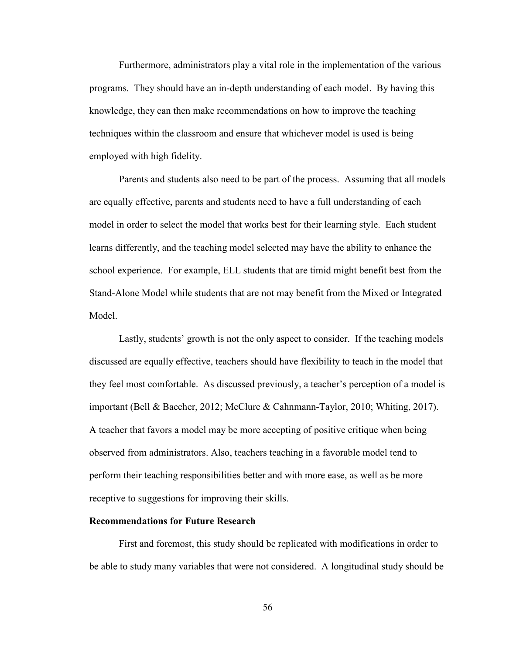Furthermore, administrators play a vital role in the implementation of the various programs. They should have an in-depth understanding of each model. By having this knowledge, they can then make recommendations on how to improve the teaching techniques within the classroom and ensure that whichever model is used is being employed with high fidelity.

 Parents and students also need to be part of the process. Assuming that all models are equally effective, parents and students need to have a full understanding of each model in order to select the model that works best for their learning style. Each student learns differently, and the teaching model selected may have the ability to enhance the school experience. For example, ELL students that are timid might benefit best from the Stand-Alone Model while students that are not may benefit from the Mixed or Integrated Model.

 Lastly, students' growth is not the only aspect to consider. If the teaching models discussed are equally effective, teachers should have flexibility to teach in the model that they feel most comfortable. As discussed previously, a teacher's perception of a model is important (Bell & Baecher, 2012; McClure & Cahnmann-Taylor, 2010; Whiting, 2017). A teacher that favors a model may be more accepting of positive critique when being observed from administrators. Also, teachers teaching in a favorable model tend to perform their teaching responsibilities better and with more ease, as well as be more receptive to suggestions for improving their skills.

#### **Recommendations for Future Research**

 First and foremost, this study should be replicated with modifications in order to be able to study many variables that were not considered. A longitudinal study should be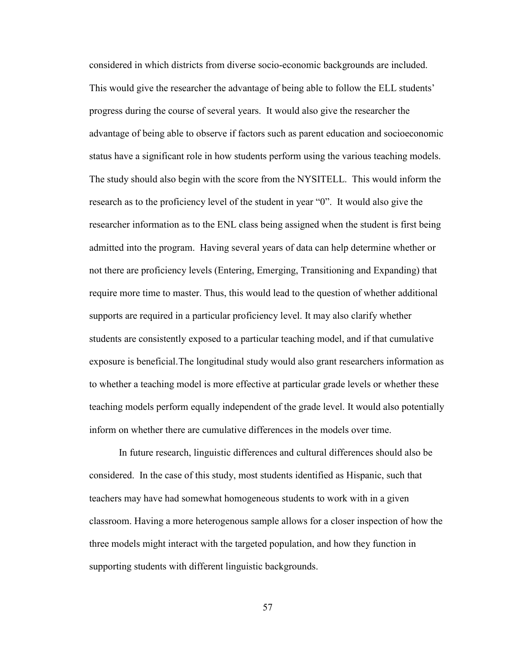considered in which districts from diverse socio-economic backgrounds are included. This would give the researcher the advantage of being able to follow the ELL students' progress during the course of several years. It would also give the researcher the advantage of being able to observe if factors such as parent education and socioeconomic status have a significant role in how students perform using the various teaching models. The study should also begin with the score from the NYSITELL. This would inform the research as to the proficiency level of the student in year "0". It would also give the researcher information as to the ENL class being assigned when the student is first being admitted into the program. Having several years of data can help determine whether or not there are proficiency levels (Entering, Emerging, Transitioning and Expanding) that require more time to master. Thus, this would lead to the question of whether additional supports are required in a particular proficiency level. It may also clarify whether students are consistently exposed to a particular teaching model, and if that cumulative exposure is beneficial. The longitudinal study would also grant researchers information as to whether a teaching model is more effective at particular grade levels or whether these teaching models perform equally independent of the grade level. It would also potentially inform on whether there are cumulative differences in the models over time.

 In future research, linguistic differences and cultural differences should also be considered. In the case of this study, most students identified as Hispanic, such that teachers may have had somewhat homogeneous students to work with in a given classroom. Having a more heterogenous sample allows for a closer inspection of how the three models might interact with the targeted population, and how they function in supporting students with different linguistic backgrounds.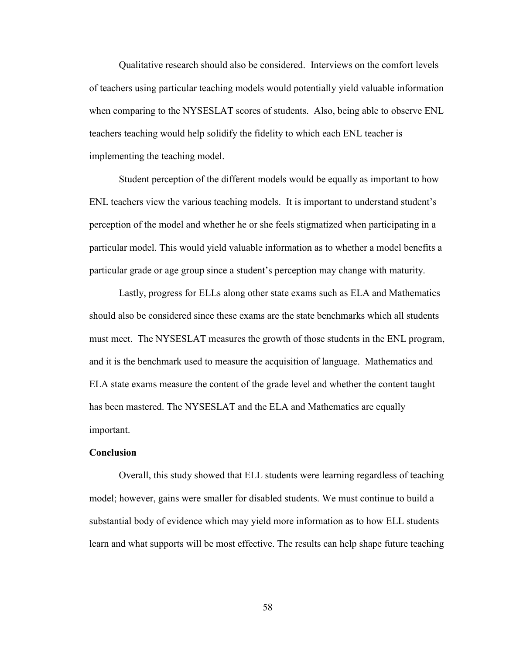Qualitative research should also be considered. Interviews on the comfort levels of teachers using particular teaching models would potentially yield valuable information when comparing to the NYSESLAT scores of students. Also, being able to observe ENL teachers teaching would help solidify the fidelity to which each ENL teacher is implementing the teaching model.

 Student perception of the different models would be equally as important to how ENL teachers view the various teaching models. It is important to understand student's perception of the model and whether he or she feels stigmatized when participating in a particular model. This would yield valuable information as to whether a model benefits a particular grade or age group since a student's perception may change with maturity.

 Lastly, progress for ELLs along other state exams such as ELA and Mathematics should also be considered since these exams are the state benchmarks which all students must meet. The NYSESLAT measures the growth of those students in the ENL program, and it is the benchmark used to measure the acquisition of language. Mathematics and ELA state exams measure the content of the grade level and whether the content taught has been mastered. The NYSESLAT and the ELA and Mathematics are equally important.

#### **Conclusion**

Overall, this study showed that ELL students were learning regardless of teaching model; however, gains were smaller for disabled students. We must continue to build a substantial body of evidence which may yield more information as to how ELL students learn and what supports will be most effective. The results can help shape future teaching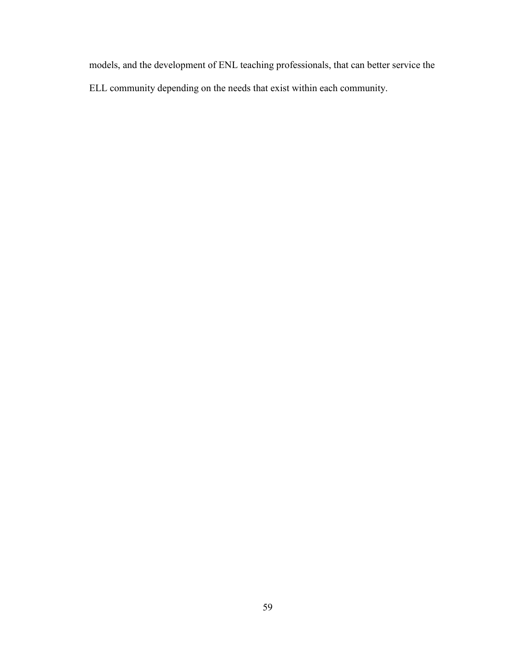models, and the development of ENL teaching professionals, that can better service the ELL community depending on the needs that exist within each community.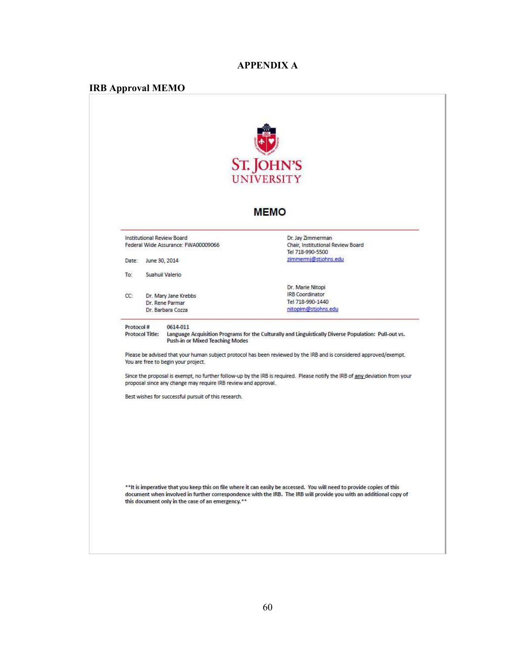## **APPENDIX A**

# **IRB Approval MEMO**

|                                     | <b>ST. JOHN'S</b><br><b>UNIVERSITY</b>                                             |                                                                                                                                                                                                                                              |  |
|-------------------------------------|------------------------------------------------------------------------------------|----------------------------------------------------------------------------------------------------------------------------------------------------------------------------------------------------------------------------------------------|--|
|                                     |                                                                                    | <b>MEMO</b>                                                                                                                                                                                                                                  |  |
|                                     | Institutional Review Board<br>Federal Wide Assurance: FWA00009066                  | Dr. Jay Zimmerman<br>Chair, Institutional Review Board<br>Tel 718-990-5500                                                                                                                                                                   |  |
| Date:                               | June 30, 2014                                                                      | zimmermi@stjohns.edu                                                                                                                                                                                                                         |  |
| To:                                 | Suahuil Valerio                                                                    |                                                                                                                                                                                                                                              |  |
|                                     |                                                                                    | Dr. Marie Nitopi                                                                                                                                                                                                                             |  |
| CC:                                 | Dr. Mary Jane Krebbs                                                               | <b>IRB</b> Coordinator                                                                                                                                                                                                                       |  |
|                                     | Dr. Rene Parmar<br>Dr. Barbara Cozza                                               | Tel 718-990-1440<br>nitopim@stjohns.edu                                                                                                                                                                                                      |  |
|                                     |                                                                                    |                                                                                                                                                                                                                                              |  |
| Protocol#<br><b>Protocol Title:</b> | 0614-011<br>Push-in or Mixed Teaching Modes<br>You are free to begin your project. | Language Acquisition Programs for the Culturally and Linguistically Diverse Population: Pull-out vs.<br>Please be advised that your human subject protocol has been reviewed by the IRB and is considered approved/exempt.                   |  |
|                                     | proposal since any change may require IRB review and approval.                     | Since the proposal is exempt, no further follow-up by the IRB is required. Please notify the IRB of any deviation from your                                                                                                                  |  |
|                                     | Best wishes for successful pursuit of this research.                               |                                                                                                                                                                                                                                              |  |
|                                     | this document only in the case of an emergency.**                                  | **It is imperative that you keep this on file where it can easily be accessed. You will need to provide copies of this<br>document when involved in further correspondence with the IRB. The IRB will provide you with an additional copy of |  |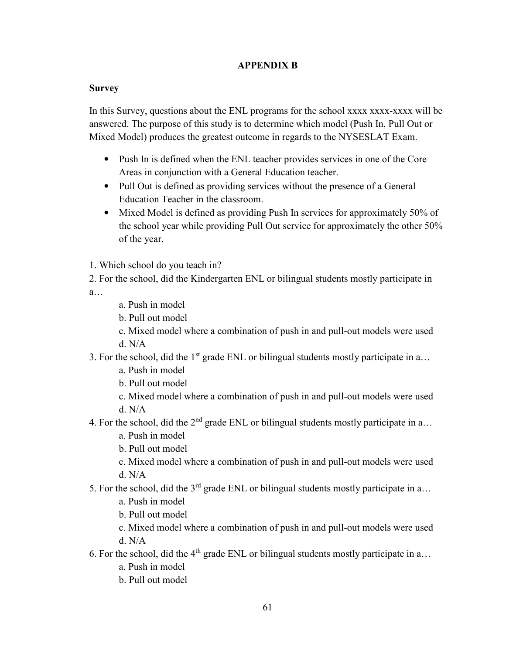## **APPENDIX B**

## **Survey**

In this Survey, questions about the ENL programs for the school xxxx xxxx-xxxx will be answered. The purpose of this study is to determine which model (Push In, Pull Out or Mixed Model) produces the greatest outcome in regards to the NYSESLAT Exam.

- Push In is defined when the ENL teacher provides services in one of the Core Areas in conjunction with a General Education teacher.
- Pull Out is defined as providing services without the presence of a General Education Teacher in the classroom.
- Mixed Model is defined as providing Push In services for approximately 50% of the school year while providing Pull Out service for approximately the other 50% of the year.
- 1. Which school do you teach in?
- 2. For the school, did the Kindergarten ENL or bilingual students mostly participate in a…
	- a. Push in model
	- b. Pull out model
	- c. Mixed model where a combination of push in and pull-out models were used d. N/A
- 3. For the school, did the  $1<sup>st</sup>$  grade ENL or bilingual students mostly participate in a...
	- a. Push in model
	- b. Pull out model
	- c. Mixed model where a combination of push in and pull-out models were used d. N/A
- 4. For the school, did the  $2<sup>nd</sup>$  grade ENL or bilingual students mostly participate in a...
	- a. Push in model
	- b. Pull out model
	- c. Mixed model where a combination of push in and pull-out models were used d. N/A
- 5. For the school, did the  $3<sup>rd</sup>$  grade ENL or bilingual students mostly participate in a...
	- a. Push in model
	- b. Pull out model
	- c. Mixed model where a combination of push in and pull-out models were used d. N/A
- 6. For the school, did the  $4<sup>th</sup>$  grade ENL or bilingual students mostly participate in a...
	- a. Push in model
	- b. Pull out model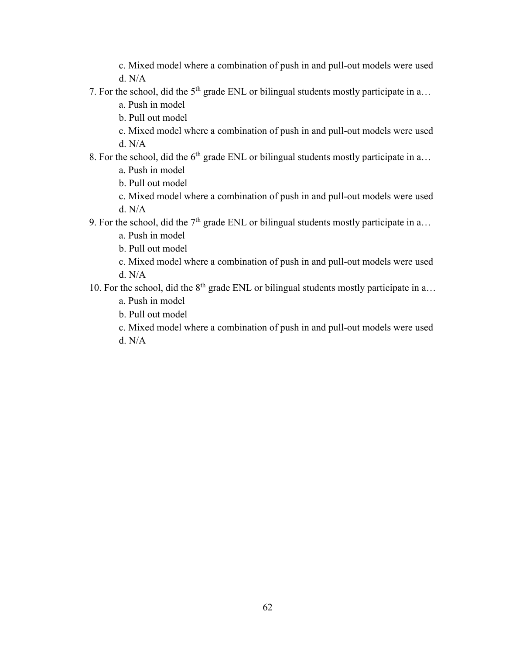c. Mixed model where a combination of push in and pull-out models were used d. N/A

7. For the school, did the  $5<sup>th</sup>$  grade ENL or bilingual students mostly participate in a...

a. Push in model

- b. Pull out model
- c. Mixed model where a combination of push in and pull-out models were used d. N/A
- 8. For the school, did the  $6<sup>th</sup>$  grade ENL or bilingual students mostly participate in a...
	- a. Push in model
	- b. Pull out model
	- c. Mixed model where a combination of push in and pull-out models were used d. N/A
- 9. For the school, did the  $7<sup>th</sup>$  grade ENL or bilingual students mostly participate in a...
	- a. Push in model
	- b. Pull out model
	- c. Mixed model where a combination of push in and pull-out models were used d. N/A
- 10. For the school, did the  $8<sup>th</sup>$  grade ENL or bilingual students mostly participate in a...
	- a. Push in model
	- b. Pull out model
	- c. Mixed model where a combination of push in and pull-out models were used d. N/A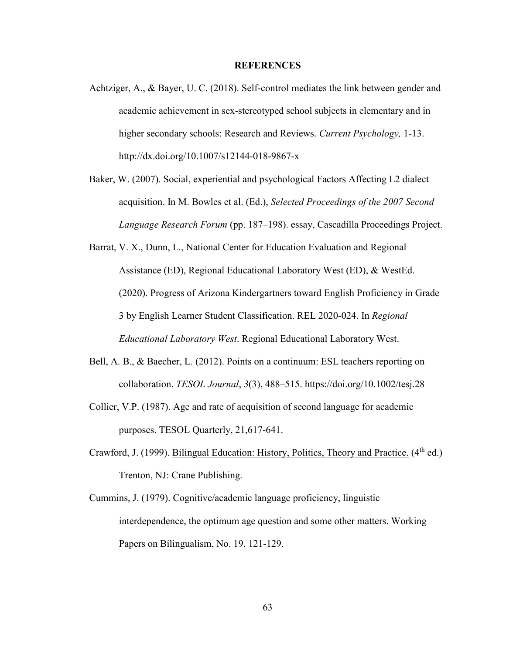## **REFERENCES**

- Achtziger, A., & Bayer, U. C. (2018). Self-control mediates the link between gender and academic achievement in sex-stereotyped school subjects in elementary and in higher secondary schools: Research and Reviews. *Current Psychology,* 1-13. http://dx.doi.org/10.1007/s12144-018-9867-x
- Baker, W. (2007). Social, experiential and psychological Factors Affecting L2 dialect acquisition. In M. Bowles et al. (Ed.), *Selected Proceedings of the 2007 Second Language Research Forum* (pp. 187–198). essay, Cascadilla Proceedings Project.
- Barrat, V. X., Dunn, L., National Center for Education Evaluation and Regional Assistance (ED), Regional Educational Laboratory West (ED), & WestEd. (2020). Progress of Arizona Kindergartners toward English Proficiency in Grade 3 by English Learner Student Classification. REL 2020-024. In *Regional Educational Laboratory West*. Regional Educational Laboratory West.
- Bell, A. B., & Baecher, L. (2012). Points on a continuum: ESL teachers reporting on collaboration. *TESOL Journal*, *3*(3), 488–515. https://doi.org/10.1002/tesj.28
- Collier, V.P. (1987). Age and rate of acquisition of second language for academic purposes. TESOL Quarterly, 21,617-641.
- Crawford, J. (1999). Bilingual Education: History, Politics, Theory and Practice.  $(4<sup>th</sup>$  ed.) Trenton, NJ: Crane Publishing.
- Cummins, J. (1979). Cognitive/academic language proficiency, linguistic interdependence, the optimum age question and some other matters. Working Papers on Bilingualism, No. 19, 121-129.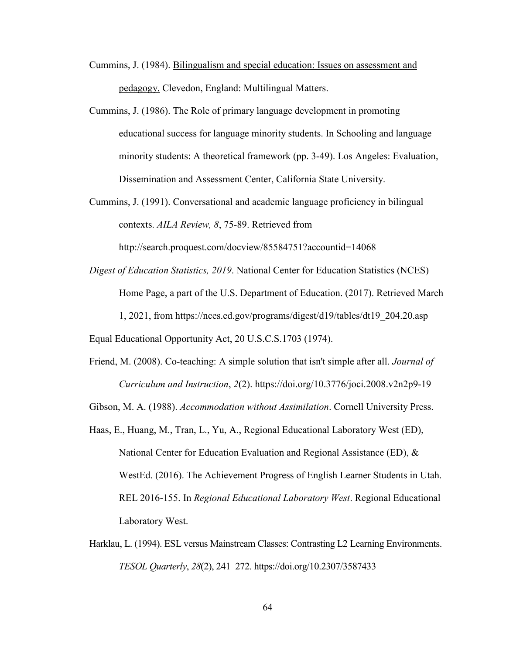- Cummins, J. (1984). Bilingualism and special education: Issues on assessment and pedagogy. Clevedon, England: Multilingual Matters.
- Cummins, J. (1986). The Role of primary language development in promoting educational success for language minority students. In Schooling and language minority students: A theoretical framework (pp. 3-49). Los Angeles: Evaluation, Dissemination and Assessment Center, California State University.
- Cummins, J. (1991). Conversational and academic language proficiency in bilingual contexts. *AILA Review, 8*, 75-89. Retrieved from

http://search.proquest.com/docview/85584751?accountid=14068

*Digest of Education Statistics, 2019*. National Center for Education Statistics (NCES) Home Page, a part of the U.S. Department of Education. (2017). Retrieved March 1, 2021, from https://nces.ed.gov/programs/digest/d19/tables/dt19\_204.20.asp

Equal Educational Opportunity Act, 20 U.S.C.S.1703 (1974).

Friend, M. (2008). Co-teaching: A simple solution that isn't simple after all. *Journal of Curriculum and Instruction*, *2*(2). https://doi.org/10.3776/joci.2008.v2n2p9-19

Gibson, M. A. (1988). *Accommodation without Assimilation*. Cornell University Press.

- Haas, E., Huang, M., Tran, L., Yu, A., Regional Educational Laboratory West (ED), National Center for Education Evaluation and Regional Assistance (ED), & WestEd. (2016). The Achievement Progress of English Learner Students in Utah. REL 2016-155. In *Regional Educational Laboratory West*. Regional Educational Laboratory West.
- Harklau, L. (1994). ESL versus Mainstream Classes: Contrasting L2 Learning Environments. *TESOL Quarterly*, *28*(2), 241–272. https://doi.org/10.2307/3587433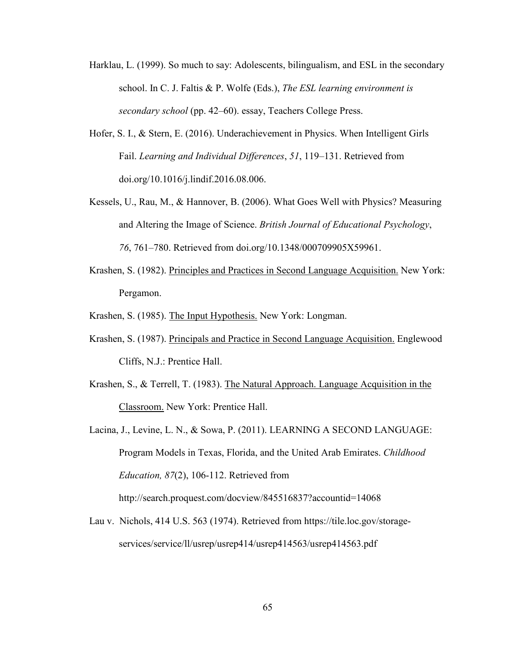- Harklau, L. (1999). So much to say: Adolescents, bilingualism, and ESL in the secondary school. In C. J. Faltis & P. Wolfe (Eds.), *The ESL learning environment is secondary school* (pp. 42–60). essay, Teachers College Press.
- Hofer, S. I., & Stern, E. (2016). Underachievement in Physics. When Intelligent Girls Fail. *Learning and Individual Differences*, *51*, 119–131. Retrieved from doi.org/10.1016/j.lindif.2016.08.006.
- Kessels, U., Rau, M., & Hannover, B. (2006). What Goes Well with Physics? Measuring and Altering the Image of Science. *British Journal of Educational Psychology*, *76*, 761–780. Retrieved from doi.org/10.1348/000709905X59961.
- Krashen, S. (1982). Principles and Practices in Second Language Acquisition. New York: Pergamon.
- Krashen, S. (1985). The Input Hypothesis. New York: Longman.
- Krashen, S. (1987). Principals and Practice in Second Language Acquisition. Englewood Cliffs, N.J.: Prentice Hall.
- Krashen, S., & Terrell, T. (1983). The Natural Approach. Language Acquisition in the Classroom. New York: Prentice Hall.
- Lacina, J., Levine, L. N., & Sowa, P. (2011). LEARNING A SECOND LANGUAGE: Program Models in Texas, Florida, and the United Arab Emirates. *Childhood Education, 87*(2), 106-112. Retrieved from http://search.proquest.com/docview/845516837?accountid=14068
- Lau v. Nichols, 414 U.S. 563 (1974). Retrieved from https://tile.loc.gov/storageservices/service/ll/usrep/usrep414/usrep414563/usrep414563.pdf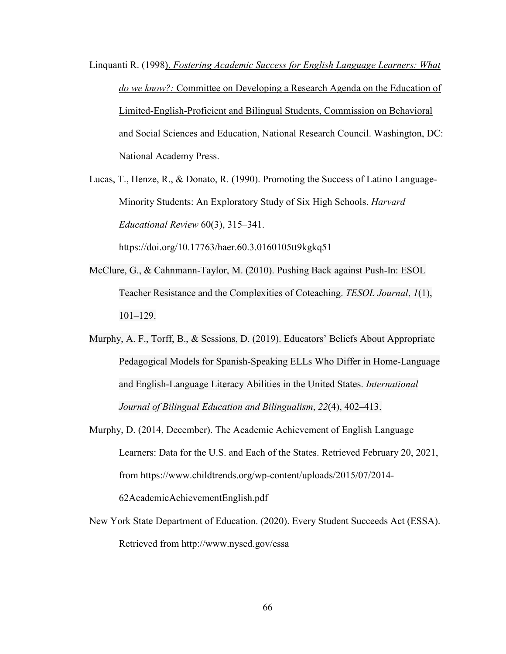Linquanti R. (1998). *Fostering Academic Success for English Language Learners: What do we know?:* Committee on Developing a Research Agenda on the Education of Limited-English-Proficient and Bilingual Students, Commission on Behavioral and Social Sciences and Education, National Research Council. Washington, DC: National Academy Press.

Lucas, T., Henze, R., & Donato, R. (1990). Promoting the Success of Latino Language-Minority Students: An Exploratory Study of Six High Schools. *Harvard Educational Review* 60(3), 315–341.

https://doi.org/10.17763/haer.60.3.0160105tt9kgkq51

- McClure, G., & Cahnmann-Taylor, M. (2010). Pushing Back against Push-In: ESOL Teacher Resistance and the Complexities of Coteaching. *TESOL Journal*, *1*(1), 101–129.
- Murphy, A. F., Torff, B., & Sessions, D. (2019). Educators' Beliefs About Appropriate Pedagogical Models for Spanish-Speaking ELLs Who Differ in Home-Language and English-Language Literacy Abilities in the United States. *International Journal of Bilingual Education and Bilingualism*, *22*(4), 402–413.
- Murphy, D. (2014, December). The Academic Achievement of English Language Learners: Data for the U.S. and Each of the States. Retrieved February 20, 2021, from https://www.childtrends.org/wp-content/uploads/2015/07/2014- 62AcademicAchievementEnglish.pdf
- New York State Department of Education. (2020). Every Student Succeeds Act (ESSA). Retrieved from http://www.nysed.gov/essa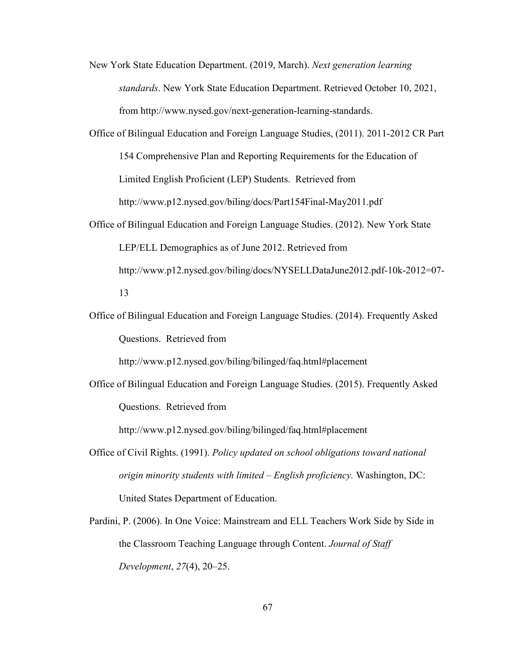- New York State Education Department. (2019, March). *Next generation learning standards*. New York State Education Department. Retrieved October 10, 2021, from http://www.nysed.gov/next-generation-learning-standards.
- Office of Bilingual Education and Foreign Language Studies, (2011). 2011-2012 CR Part 154 Comprehensive Plan and Reporting Requirements for the Education of Limited English Proficient (LEP) Students. Retrieved from http://www.p12.nysed.gov/biling/docs/Part154Final-May2011.pdf Office of Bilingual Education and Foreign Language Studies. (2012). New York State

LEP/ELL Demographics as of June 2012. Retrieved from http://www.p12.nysed.gov/biling/docs/NYSELLDataJune2012.pdf-10k-2012=07- 13

Office of Bilingual Education and Foreign Language Studies. (2014). Frequently Asked Questions. Retrieved from

http://www.p12.nysed.gov/biling/bilinged/faq.html#placement

Office of Bilingual Education and Foreign Language Studies. (2015). Frequently Asked Questions. Retrieved from

http://www.p12.nysed.gov/biling/bilinged/faq.html#placement

- Office of Civil Rights. (1991). *Policy updated on school obligations toward national origin minority students with limited – English proficiency.* Washington, DC: United States Department of Education.
- Pardini, P. (2006). In One Voice: Mainstream and ELL Teachers Work Side by Side in the Classroom Teaching Language through Content. *Journal of Staff Development*, *27*(4), 20–25.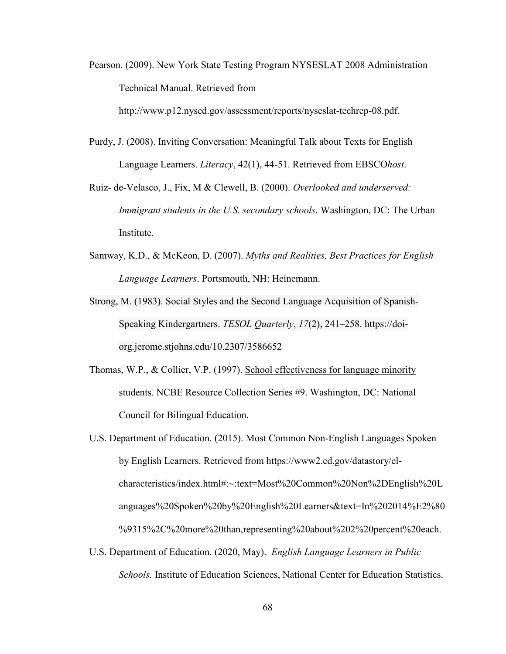Pearson. (2009). New York State Testing Program NYSESLAT 2008 Administration Technical Manual. Retrieved from

http://www.p12.nysed.gov/assessment/reports/nyseslat-techrep-08.pdf.

- Purdy, J. (2008). Inviting Conversation: Meaningful Talk about Texts for English Language Learners. *Literacy*, 42(1), 44-51. Retrieved from EBSCO*host*.
- Ruiz- de-Velasco, J., Fix, M & Clewell, B. (2000). *Overlooked and underserved: Immigrant students in the U.S. secondary schools.* Washington, DC: The Urban Institute.
- Samway, K.D., & McKeon, D. (2007). *Myths and Realities, Best Practices for English Language Learners*. Portsmouth, NH: Heinemann.
- Strong, M. (1983). Social Styles and the Second Language Acquisition of Spanish-Speaking Kindergartners. *TESOL Quarterly*, *17*(2), 241–258. https://doiorg.jerome.stjohns.edu/10.2307/3586652
- Thomas, W.P., & Collier, V.P. (1997). School effectiveness for language minority students. NCBE Resource Collection Series #9. Washington, DC: National Council for Bilingual Education.
- U.S. Department of Education. (2015). Most Common Non-English Languages Spoken by English Learners. Retrieved from https://www2.ed.gov/datastory/elcharacteristics/index.html#:~:text=Most%20Common%20Non%2DEnglish%20L anguages%20Spoken%20by%20English%20Learners&text=In%202014%E2%80 %9315%2C%20more%20than,representing%20about%202%20percent%20each.
- U.S. Department of Education. (2020, May). *English Language Learners in Public Schools.* Institute of Education Sciences, National Center for Education Statistics.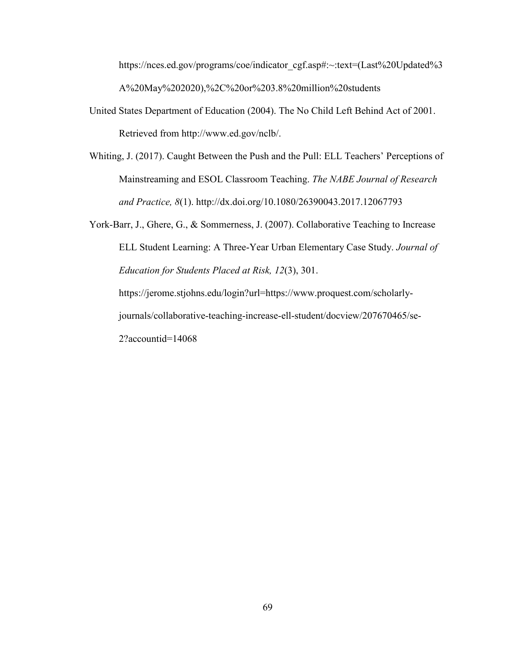https://nces.ed.gov/programs/coe/indicator\_cgf.asp#:~:text=(Last%20Updated%3) A%20May%202020),%2C%20or%203.8%20million%20students

- United States Department of Education (2004). The No Child Left Behind Act of 2001. Retrieved from http://www.ed.gov/nclb/.
- Whiting, J. (2017). Caught Between the Push and the Pull: ELL Teachers' Perceptions of Mainstreaming and ESOL Classroom Teaching. *The NABE Journal of Research and Practice, 8*(1). http://dx.doi.org/10.1080/26390043.2017.12067793

York-Barr, J., Ghere, G., & Sommerness, J. (2007). Collaborative Teaching to Increase ELL Student Learning: A Three-Year Urban Elementary Case Study. *Journal of Education for Students Placed at Risk, 12*(3), 301. https://jerome.stjohns.edu/login?url=https://www.proquest.com/scholarlyjournals/collaborative-teaching-increase-ell-student/docview/207670465/se-2?accountid=14068